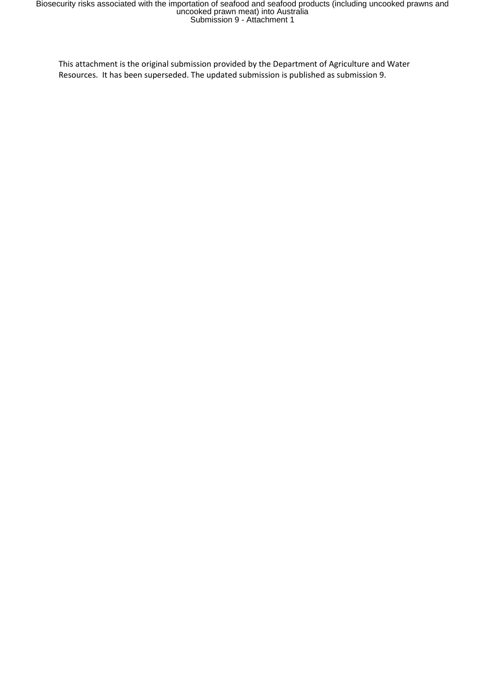This attachment is the original submission provided by the Department of Agriculture and Water Resources. It has been superseded. The updated submission is published as submission 9.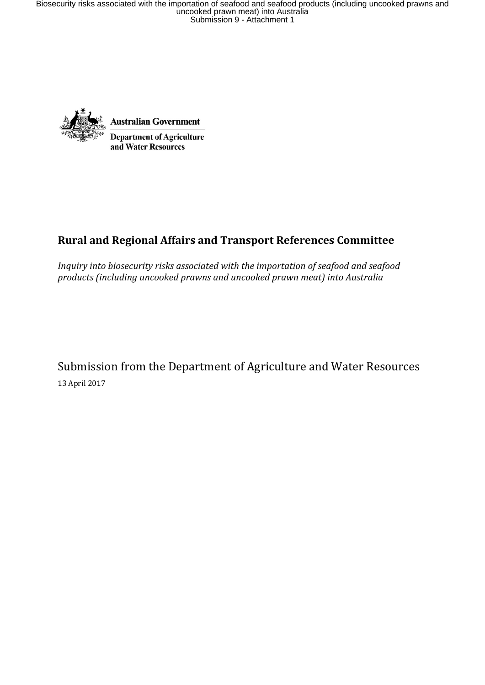

**Australian Government Department of Agriculture** and Water Resources

## **Rural and Regional Affairs and Transport References Committee**

*Inquiry into biosecurity risks associated with the importation of seafood and seafood products (including uncooked prawns and uncooked prawn meat) into Australia*

Submission from the Department of Agriculture and Water Resources 13 April 2017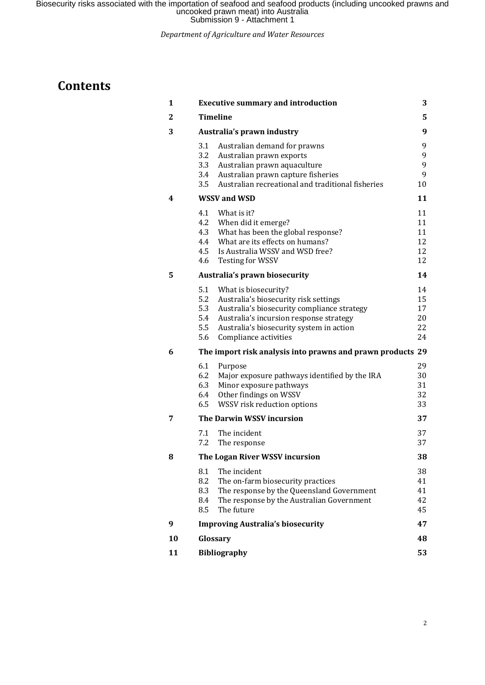*Department of Agriculture and Water Resources*

## **Contents**

| 1  | <b>Executive summary and introduction</b>                                                                                                                                                                                                                              | 3                                |
|----|------------------------------------------------------------------------------------------------------------------------------------------------------------------------------------------------------------------------------------------------------------------------|----------------------------------|
| 2  | <b>Timeline</b>                                                                                                                                                                                                                                                        | 5                                |
| 3  | Australia's prawn industry                                                                                                                                                                                                                                             | 9                                |
|    | 3.1<br>Australian demand for prawns<br>3.2<br>Australian prawn exports<br>3.3<br>Australian prawn aquaculture<br>3.4<br>Australian prawn capture fisheries<br>3.5<br>Australian recreational and traditional fisheries                                                 | 9<br>9<br>9<br>9<br>10           |
| 4  | <b>WSSV and WSD</b>                                                                                                                                                                                                                                                    | 11                               |
|    | 4.1<br>What is it?<br>4.2<br>When did it emerge?<br>4.3<br>What has been the global response?<br>What are its effects on humans?<br>4.4<br>4.5<br>Is Australia WSSV and WSD free?<br>4.6<br><b>Testing for WSSV</b>                                                    | 11<br>11<br>11<br>12<br>12<br>12 |
| 5  | Australia's prawn biosecurity                                                                                                                                                                                                                                          | 14                               |
|    | 5.1<br>What is biosecurity?<br>5.2<br>Australia's biosecurity risk settings<br>5.3<br>Australia's biosecurity compliance strategy<br>5.4<br>Australia's incursion response strategy<br>5.5<br>Australia's biosecurity system in action<br>5.6<br>Compliance activities | 14<br>15<br>17<br>20<br>22<br>24 |
| 6  | The import risk analysis into prawns and prawn products 29                                                                                                                                                                                                             |                                  |
|    | 6.1<br>Purpose<br>6.2<br>Major exposure pathways identified by the IRA<br>6.3<br>Minor exposure pathways<br>6.4<br>Other findings on WSSV<br>6.5<br>WSSV risk reduction options                                                                                        | 29<br>30<br>31<br>32<br>33       |
| 7  | The Darwin WSSV incursion                                                                                                                                                                                                                                              | 37                               |
|    | 7.1<br>The incident<br>7.2<br>The response                                                                                                                                                                                                                             | 37<br>37                         |
| 8  | The Logan River WSSV incursion                                                                                                                                                                                                                                         | 38                               |
|    | 8.1<br>The incident<br>8.2<br>The on-farm biosecurity practices<br>8.3<br>The response by the Queensland Government<br>8.4<br>The response by the Australian Government<br>8.5<br>The future                                                                           | 38<br>41<br>41<br>42<br>45       |
| 9  | <b>Improving Australia's biosecurity</b>                                                                                                                                                                                                                               | 47                               |
| 10 | Glossary                                                                                                                                                                                                                                                               | 48                               |
| 11 | <b>Bibliography</b>                                                                                                                                                                                                                                                    | 53                               |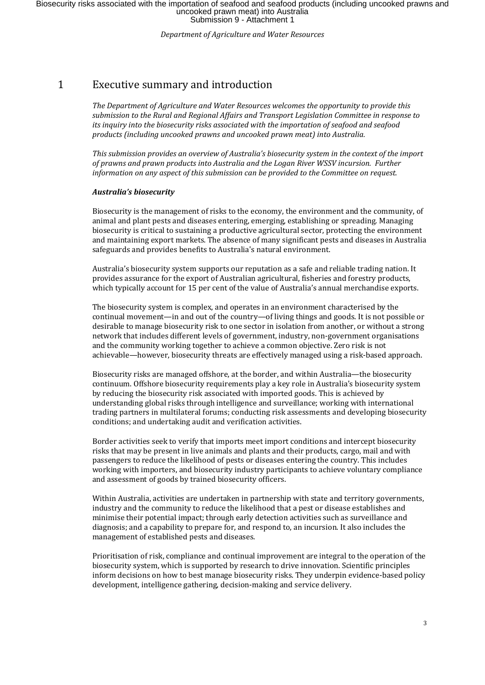*Department of Agriculture and Water Resources*

## <span id="page-3-0"></span>1 Executive summary and introduction

*The Department of Agriculture and Water Resources welcomes the opportunity to provide this submission to the Rural and Regional Affairs and Transport Legislation Committee in response to its inquiry into the biosecurity risks associated with the importation of seafood and seafood products (including uncooked prawns and uncooked prawn meat) into Australia.*

*This submission provides an overview of Australia's biosecurity system in the context of the import of prawns and prawn products into Australia and the Logan River WSSV incursion. Further information on any aspect of this submission can be provided to the Committee on request.*

#### *Australia's biosecurity*

Biosecurity is the management of risks to the economy, the environment and the community, of animal and plant pests and diseases entering, emerging, establishing or spreading. Managing biosecurity is critical to sustaining a productive agricultural sector, protecting the environment and maintaining export markets. The absence of many significant pests and diseases in Australia safeguards and provides benefits to Australia's natural environment.

Australia's biosecurity system supports our reputation as a safe and reliable trading nation. It provides assurance for the export of Australian agricultural, fisheries and forestry products, which typically account for 15 per cent of the value of Australia's annual merchandise exports.

The biosecurity system is complex, and operates in an environment characterised by the continual movement—in and out of the country—of living things and goods. It is not possible or desirable to manage biosecurity risk to one sector in isolation from another, or without a strong network that includes different levels of government, industry, non-government organisations and the community working together to achieve a common objective. Zero risk is not achievable—however, biosecurity threats are effectively managed using a risk-based approach.

Biosecurity risks are managed offshore, at the border, and within Australia—the biosecurity continuum. Offshore biosecurity requirements play a key role in Australia's biosecurity system by reducing the biosecurity risk associated with imported goods. This is achieved by understanding global risks through intelligence and surveillance; working with international trading partners in multilateral forums; conducting risk assessments and developing biosecurity conditions; and undertaking audit and verification activities.

Border activities seek to verify that imports meet import conditions and intercept biosecurity risks that may be present in live animals and plants and their products, cargo, mail and with passengers to reduce the likelihood of pests or diseases entering the country. This includes working with importers, and biosecurity industry participants to achieve voluntary compliance and assessment of goods by trained biosecurity officers.

Within Australia, activities are undertaken in partnership with state and territory governments, industry and the community to reduce the likelihood that a pest or disease establishes and minimise their potential impact; through early detection activities such as surveillance and diagnosis; and a capability to prepare for, and respond to, an incursion. It also includes the management of established pests and diseases.

Prioritisation of risk, compliance and continual improvement are integral to the operation of the biosecurity system, which is supported by research to drive innovation. Scientific principles inform decisions on how to best manage biosecurity risks. They underpin evidence-based policy development, intelligence gathering, decision-making and service delivery.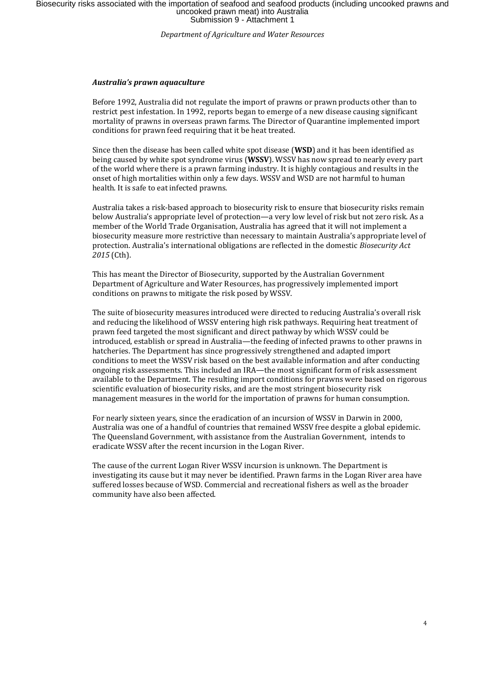*Department of Agriculture and Water Resources*

#### *Australia's prawn aquaculture*

Before 1992, Australia did not regulate the import of prawns or prawn products other than to restrict pest infestation. In 1992, reports began to emerge of a new disease causing significant mortality of prawns in overseas prawn farms. The Director of Quarantine implemented import conditions for prawn feed requiring that it be heat treated.

Since then the disease has been called white spot disease (**WSD**) and it has been identified as being caused by white spot syndrome virus (**WSSV**). WSSV has now spread to nearly every part of the world where there is a prawn farming industry. It is highly contagious and results in the onset of high mortalities within only a few days. WSSV and WSD are not harmful to human health. It is safe to eat infected prawns.

Australia takes a risk-based approach to biosecurity risk to ensure that biosecurity risks remain below Australia's appropriate level of protection—a very low level of risk but not zero risk. As a member of the World Trade Organisation, Australia has agreed that it will not implement a biosecurity measure more restrictive than necessary to maintain Australia's appropriate level of protection. Australia's international obligations are reflected in the domestic *Biosecurity Act 2015* (Cth).

This has meant the Director of Biosecurity, supported by the Australian Government Department of Agriculture and Water Resources, has progressively implemented import conditions on prawns to mitigate the risk posed by WSSV.

The suite of biosecurity measures introduced were directed to reducing Australia's overall risk and reducing the likelihood of WSSV entering high risk pathways. Requiring heat treatment of prawn feed targeted the most significant and direct pathway by which WSSV could be introduced, establish or spread in Australia—the feeding of infected prawns to other prawns in hatcheries. The Department has since progressively strengthened and adapted import conditions to meet the WSSV risk based on the best available information and after conducting ongoing risk assessments. This included an IRA—the most significant form of risk assessment available to the Department. The resulting import conditions for prawns were based on rigorous scientific evaluation of biosecurity risks, and are the most stringent biosecurity risk management measures in the world for the importation of prawns for human consumption.

For nearly sixteen years, since the eradication of an incursion of WSSV in Darwin in 2000, Australia was one of a handful of countries that remained WSSV free despite a global epidemic. The Queensland Government, with assistance from the Australian Government, intends to eradicate WSSV after the recent incursion in the Logan River.

The cause of the current Logan River WSSV incursion is unknown. The Department is investigating its cause but it may never be identified. Prawn farms in the Logan River area have suffered losses because of WSD. Commercial and recreational fishers as well as the broader community have also been affected.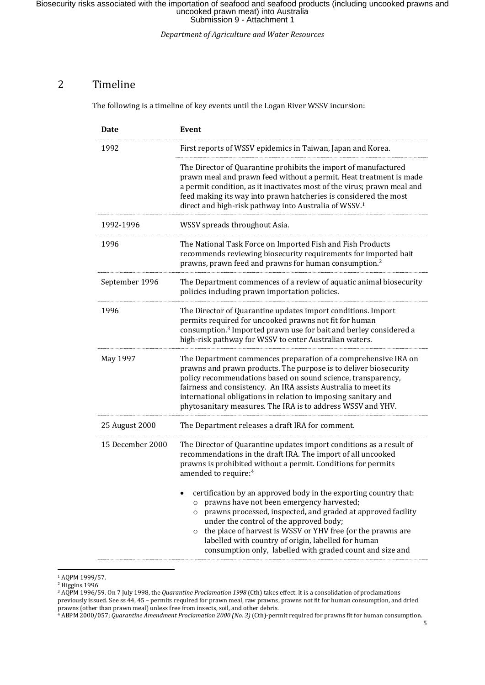*Department of Agriculture and Water Resources*

## <span id="page-5-0"></span>2 Timeline

The following is a timeline of key events until the Logan River WSSV incursion:

| Date             | <b>Event</b>                                                                                                                                                                                                                                                                                                                                                                                                                                 |
|------------------|----------------------------------------------------------------------------------------------------------------------------------------------------------------------------------------------------------------------------------------------------------------------------------------------------------------------------------------------------------------------------------------------------------------------------------------------|
| 1992             | First reports of WSSV epidemics in Taiwan, Japan and Korea.                                                                                                                                                                                                                                                                                                                                                                                  |
|                  | The Director of Quarantine prohibits the import of manufactured<br>prawn meal and prawn feed without a permit. Heat treatment is made<br>a permit condition, as it inactivates most of the virus; prawn meal and<br>feed making its way into prawn hatcheries is considered the most<br>direct and high-risk pathway into Australia of WSSV. <sup>1</sup>                                                                                    |
| 1992-1996        | WSSV spreads throughout Asia.                                                                                                                                                                                                                                                                                                                                                                                                                |
| 1996             | The National Task Force on Imported Fish and Fish Products<br>recommends reviewing biosecurity requirements for imported bait<br>prawns, prawn feed and prawns for human consumption. <sup>2</sup>                                                                                                                                                                                                                                           |
| September 1996   | The Department commences of a review of aquatic animal biosecurity<br>policies including prawn importation policies.                                                                                                                                                                                                                                                                                                                         |
| 1996             | The Director of Quarantine updates import conditions. Import<br>permits required for uncooked prawns not fit for human<br>consumption. <sup>3</sup> Imported prawn use for bait and berley considered a<br>high-risk pathway for WSSV to enter Australian waters.                                                                                                                                                                            |
| May 1997         | The Department commences preparation of a comprehensive IRA on<br>prawns and prawn products. The purpose is to deliver biosecurity<br>policy recommendations based on sound science, transparency,<br>fairness and consistency. An IRA assists Australia to meet its<br>international obligations in relation to imposing sanitary and<br>phytosanitary measures. The IRA is to address WSSV and YHV.                                        |
| 25 August 2000   | The Department releases a draft IRA for comment.                                                                                                                                                                                                                                                                                                                                                                                             |
| 15 December 2000 | The Director of Quarantine updates import conditions as a result of<br>recommendations in the draft IRA. The import of all uncooked<br>prawns is prohibited without a permit. Conditions for permits<br>amended to require: <sup>4</sup>                                                                                                                                                                                                     |
|                  | certification by an approved body in the exporting country that:<br>prawns have not been emergency harvested;<br>$\circ$<br>prawns processed, inspected, and graded at approved facility<br>$\circ$<br>under the control of the approved body;<br>the place of harvest is WSSV or YHV free (or the prawns are<br>$\circ$<br>labelled with country of origin, labelled for human<br>consumption only, labelled with graded count and size and |

<sup>1</sup> AQPM 1999/57.

 $2$  Higgins 1996

<sup>3</sup> AQPM 1996/59. On 7 July 1998, the *Quarantine Proclamation 1998* (Cth) takes effect. It is a consolidation of proclamations previously issued. See ss 44, 45 – permits required for prawn meal, raw prawns, prawns not fit for human consumption, and dried prawns (other than prawn meal) unless free from insects, soil, and other debris.

<sup>5</sup> <sup>4</sup> ABPM 2000/057; *Quarantine Amendment Proclamation 2000 (No. 3)* (Cth)-permit required for prawns fit for human consumption.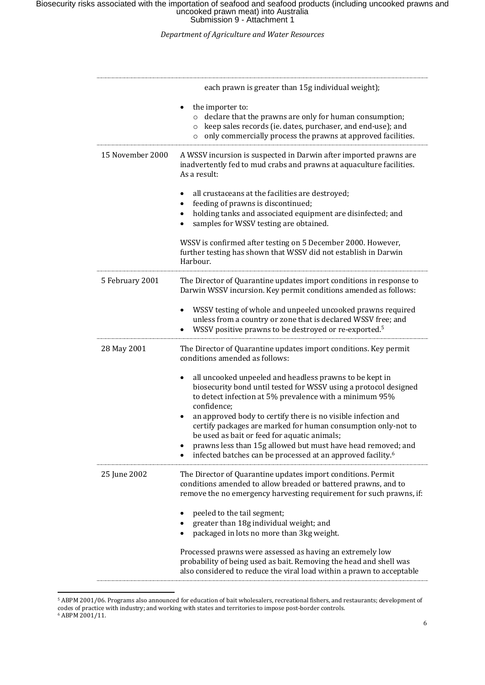*Department of Agriculture and Water Resources*

|                  | each prawn is greater than 15g individual weight);                                                                                                                                                                                                                                                                        |
|------------------|---------------------------------------------------------------------------------------------------------------------------------------------------------------------------------------------------------------------------------------------------------------------------------------------------------------------------|
|                  | the importer to:<br>declare that the prawns are only for human consumption;<br>$\circ$<br>keep sales records (ie. dates, purchaser, and end-use); and<br>$\circ$<br>only commercially process the prawns at approved facilities.<br>$\circ$                                                                               |
| 15 November 2000 | A WSSV incursion is suspected in Darwin after imported prawns are<br>inadvertently fed to mud crabs and prawns at aquaculture facilities.<br>As a result:                                                                                                                                                                 |
|                  | all crustaceans at the facilities are destroyed;                                                                                                                                                                                                                                                                          |
|                  | feeding of prawns is discontinued;<br>holding tanks and associated equipment are disinfected; and<br>samples for WSSV testing are obtained.                                                                                                                                                                               |
|                  | WSSV is confirmed after testing on 5 December 2000. However,<br>further testing has shown that WSSV did not establish in Darwin<br>Harbour.                                                                                                                                                                               |
| 5 February 2001  | The Director of Quarantine updates import conditions in response to<br>Darwin WSSV incursion. Key permit conditions amended as follows:                                                                                                                                                                                   |
|                  | WSSV testing of whole and unpeeled uncooked prawns required<br>unless from a country or zone that is declared WSSV free; and<br>WSSV positive prawns to be destroyed or re-exported. <sup>5</sup>                                                                                                                         |
| 28 May 2001      | The Director of Quarantine updates import conditions. Key permit<br>conditions amended as follows:                                                                                                                                                                                                                        |
|                  | all uncooked unpeeled and headless prawns to be kept in<br>biosecurity bond until tested for WSSV using a protocol designed<br>to detect infection at 5% prevalence with a minimum 95%<br>confidence;                                                                                                                     |
|                  | an approved body to certify there is no visible infection and<br>certify packages are marked for human consumption only-not to<br>be used as bait or feed for aquatic animals;<br>prawns less than 15g allowed but must have head removed; and<br>infected batches can be processed at an approved facility. <sup>6</sup> |
| 25 June 2002     | The Director of Quarantine updates import conditions. Permit<br>conditions amended to allow breaded or battered prawns, and to<br>remove the no emergency harvesting requirement for such prawns, if:                                                                                                                     |
|                  | peeled to the tail segment;<br>greater than 18g individual weight; and<br>packaged in lots no more than 3kg weight.                                                                                                                                                                                                       |
|                  | Processed prawns were assessed as having an extremely low<br>probability of being used as bait. Removing the head and shell was<br>also considered to reduce the viral load within a prawn to acceptable                                                                                                                  |

<sup>5</sup> ABPM 2001/06. Programs also announced for education of bait wholesalers, recreational fishers, and restaurants; development of codes of practice with industry; and working with states and territories to impose post-border controls. <sup>6</sup> ABPM 2001/11.

6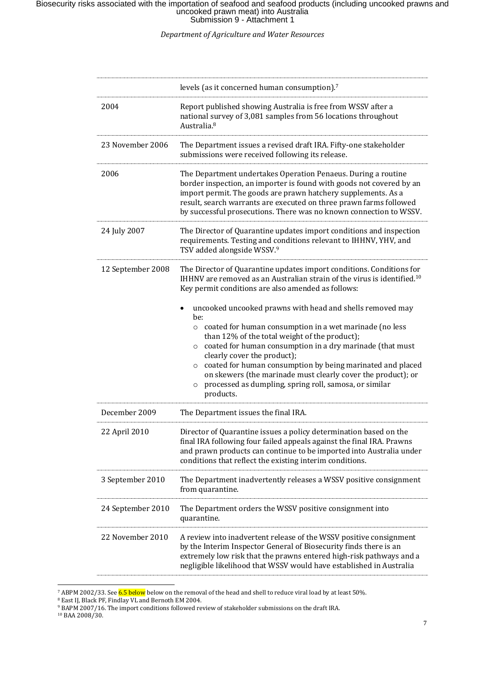|                   | levels (as it concerned human consumption). <sup>7</sup>                                                                                                                                                                                                                                                                                                                                                                                                                                                         |
|-------------------|------------------------------------------------------------------------------------------------------------------------------------------------------------------------------------------------------------------------------------------------------------------------------------------------------------------------------------------------------------------------------------------------------------------------------------------------------------------------------------------------------------------|
| 2004              | Report published showing Australia is free from WSSV after a<br>national survey of 3,081 samples from 56 locations throughout<br>Australia. <sup>8</sup>                                                                                                                                                                                                                                                                                                                                                         |
| 23 November 2006  | The Department issues a revised draft IRA. Fifty-one stakeholder<br>submissions were received following its release.                                                                                                                                                                                                                                                                                                                                                                                             |
| 2006              | The Department undertakes Operation Penaeus. During a routine<br>border inspection, an importer is found with goods not covered by an<br>import permit. The goods are prawn hatchery supplements. As a<br>result, search warrants are executed on three prawn farms followed<br>by successful prosecutions. There was no known connection to WSSV.                                                                                                                                                               |
| 24 July 2007      | The Director of Quarantine updates import conditions and inspection<br>requirements. Testing and conditions relevant to IHHNV, YHV, and<br>TSV added alongside WSSV.9                                                                                                                                                                                                                                                                                                                                            |
| 12 September 2008 | The Director of Quarantine updates import conditions. Conditions for<br>IHHNV are removed as an Australian strain of the virus is identified. <sup>10</sup><br>Key permit conditions are also amended as follows:                                                                                                                                                                                                                                                                                                |
|                   | uncooked uncooked prawns with head and shells removed may<br>be:<br>o coated for human consumption in a wet marinade (no less<br>than 12% of the total weight of the product);<br>coated for human consumption in a dry marinade (that must<br>$\circ$<br>clearly cover the product);<br>coated for human consumption by being marinated and placed<br>$\circ$<br>on skewers (the marinade must clearly cover the product); or<br>processed as dumpling, spring roll, samosa, or similar<br>$\circ$<br>products. |
| December 2009     | The Department issues the final IRA.                                                                                                                                                                                                                                                                                                                                                                                                                                                                             |
| 22 April 2010     | Director of Quarantine issues a policy determination based on the<br>final IRA following four failed appeals against the final IRA. Prawns<br>and prawn products can continue to be imported into Australia under<br>conditions that reflect the existing interim conditions.                                                                                                                                                                                                                                    |
| 3 September 2010  | The Department inadvertently releases a WSSV positive consignment<br>from quarantine.                                                                                                                                                                                                                                                                                                                                                                                                                            |
| 24 September 2010 | The Department orders the WSSV positive consignment into<br>quarantine.                                                                                                                                                                                                                                                                                                                                                                                                                                          |
| 22 November 2010  | A review into inadvertent release of the WSSV positive consignment<br>by the Interim Inspector General of Biosecurity finds there is an<br>extremely low risk that the prawns entered high-risk pathways and a<br>negligible likelihood that WSSV would have established in Australia                                                                                                                                                                                                                            |

<sup>&</sup>lt;sup>7</sup> ABPM 2002/33. See 6.5 [below](#page-33-0) below on the removal of the head and shell to reduce viral load by at least 50%.

<sup>8</sup> East IJ, Black PF, Findlay VL and Bernoth EM 2004.

<sup>9</sup> BAPM 2007/16. The import conditions followed review of stakeholder submissions on the draft IRA.

<sup>10</sup> BAA 2008/30.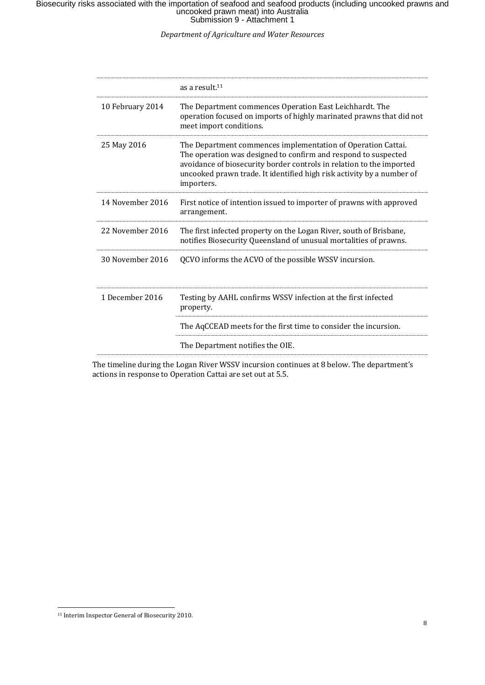*Department of Agriculture and Water Resources*

|                  | property.<br>The AqCCEAD meets for the first time to consider the incursion.                                                                                                                                                                                                                  |
|------------------|-----------------------------------------------------------------------------------------------------------------------------------------------------------------------------------------------------------------------------------------------------------------------------------------------|
| 1 December 2016  | Testing by AAHL confirms WSSV infection at the first infected                                                                                                                                                                                                                                 |
| 30 November 2016 | QCVO informs the ACVO of the possible WSSV incursion.                                                                                                                                                                                                                                         |
| 22 November 2016 | The first infected property on the Logan River, south of Brisbane,<br>notifies Biosecurity Queensland of unusual mortalities of prawns.                                                                                                                                                       |
| 14 November 2016 | First notice of intention issued to importer of prawns with approved<br>arrangement.                                                                                                                                                                                                          |
| 25 May 2016      | The Department commences implementation of Operation Cattai.<br>The operation was designed to confirm and respond to suspected<br>avoidance of biosecurity border controls in relation to the imported<br>uncooked prawn trade. It identified high risk activity by a number of<br>importers. |
| 10 February 2014 | The Department commences Operation East Leichhardt. The<br>operation focused on imports of highly marinated prawns that did not<br>meet import conditions.                                                                                                                                    |
|                  | as a result. <sup>11</sup>                                                                                                                                                                                                                                                                    |

The timeline during the Logan River WSSV incursion continues at 8 below. The department's actions in response to Operation Cattai are set out at 5.5.

<sup>11</sup> Interim Inspector General of Biosecurity 2010.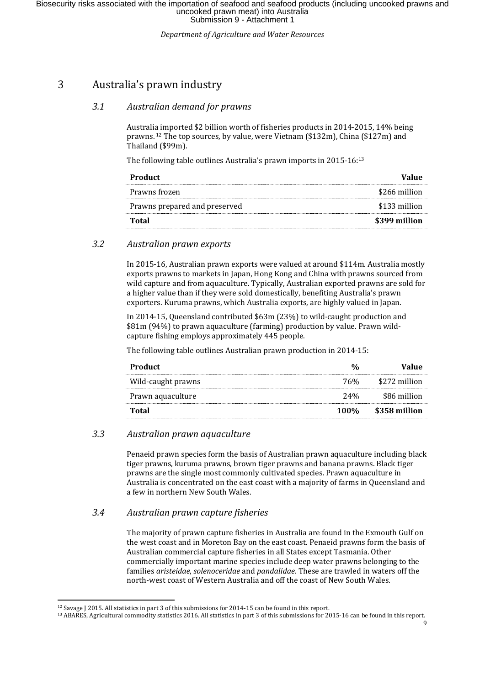*Department of Agriculture and Water Resources*

## <span id="page-9-0"></span>3 Australia's prawn industry

### <span id="page-9-1"></span>*3.1 Australian demand for prawns*

Australia imported \$2 billion worth of fisheries products in 2014-2015, 14% being prawns. <sup>12</sup> The top sources, by value, were Vietnam (\$132m), China (\$127m) and Thailand (\$99m).

The following table outlines Australia's prawn imports in 2015-16:<sup>13</sup>

| Value         |
|---------------|
| \$266 million |
| \$133 million |
| \$399 million |
|               |

#### <span id="page-9-2"></span>*3.2 Australian prawn exports*

In 2015-16, Australian prawn exports were valued at around \$114m. Australia mostly exports prawns to markets in Japan, Hong Kong and China with prawns sourced from wild capture and from aquaculture. Typically, Australian exported prawns are sold for a higher value than if they were sold domestically, benefiting Australia's prawn exporters. Kuruma prawns, which Australia exports, are highly valued in Japan.

In 2014-15, Queensland contributed \$63m (23%) to wild-caught production and \$81m (94%) to prawn aquaculture (farming) production by value. Prawn wildcapture fishing employs approximately 445 people.

The following table outlines Australian prawn production in 2014-15:

| Product            |      | Value           |
|--------------------|------|-----------------|
| Wild-caught prawns | 76%  | \$272 million   |
| Prawn aquaculture  | 24%  | \$86 million    |
| Total              | 100% | – \$358 million |

## <span id="page-9-3"></span>*3.3 Australian prawn aquaculture*

Penaeid prawn species form the basis of Australian prawn aquaculture including black tiger prawns, kuruma prawns, brown tiger prawns and banana prawns. Black tiger prawns are the single most commonly cultivated species. Prawn aquaculture in Australia is concentrated on the east coast with a majority of farms in Queensland and a few in northern New South Wales.

### <span id="page-9-4"></span>*3.4 Australian prawn capture fisheries*

The majority of prawn capture fisheries in Australia are found in the Exmouth Gulf on the west coast and in Moreton Bay on the east coast. Penaeid prawns form the basis of Australian commercial capture fisheries in all States except Tasmania. Other commercially important marine species include deep water prawns belonging to the families *aristeidae*, *solenoceridae* and *pandalidae*. These are trawled in waters off the north-west coast of Western Australia and off the coast of New South Wales.

9

<sup>12</sup> Savage J 2015. All statistics in part 3 of this submissions for 2014-15 can be found in this report.

<sup>&</sup>lt;sup>13</sup> ABARES, Agricultural commodity statistics 2016. All statistics in part 3 of this submissions for 2015-16 can be found in this report.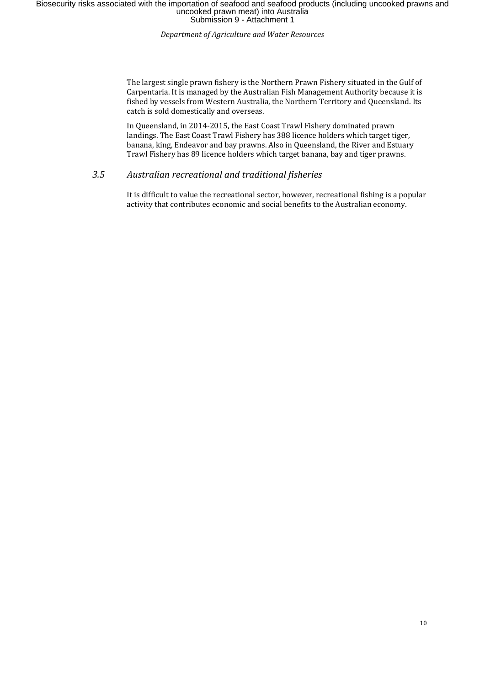*Department of Agriculture and Water Resources*

The largest single prawn fishery is the Northern Prawn Fishery situated in the Gulf of Carpentaria. It is managed by the Australian Fish Management Authority because it is fished by vessels from Western Australia, the Northern Territory and Queensland. Its catch is sold domestically and overseas.

In Queensland, in 2014-2015, the East Coast Trawl Fishery dominated prawn landings. The East Coast Trawl Fishery has 388 licence holders which target tiger, banana, king, Endeavor and bay prawns. Also in Queensland, the River and Estuary Trawl Fishery has 89 licence holders which target banana, bay and tiger prawns.

## <span id="page-10-0"></span>*3.5 Australian recreational and traditional fisheries*

It is difficult to value the recreational sector, however, recreational fishing is a popular activity that contributes economic and social benefits to the Australian economy.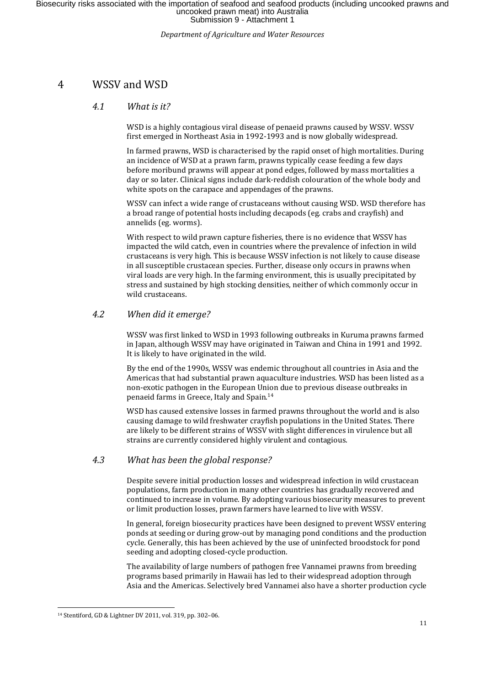*Department of Agriculture and Water Resources*

## <span id="page-11-0"></span>4 WSSV and WSD

#### <span id="page-11-1"></span>*4.1 What is it?*

WSD is a highly contagious viral disease of penaeid prawns caused by WSSV. WSSV first emerged in Northeast Asia in 1992-1993 and is now globally widespread.

In farmed prawns, WSD is characterised by the rapid onset of high mortalities. During an incidence of WSD at a prawn farm, prawns typically cease feeding a few days before moribund prawns will appear at pond edges, followed by mass mortalities a day or so later. Clinical signs include dark-reddish colouration of the whole body and white spots on the carapace and appendages of the prawns.

WSSV can infect a wide range of crustaceans without causing WSD. WSD therefore has a broad range of potential hosts including decapods (eg. crabs and crayfish) and annelids (eg. worms).

With respect to wild prawn capture fisheries, there is no evidence that WSSV has impacted the wild catch, even in countries where the prevalence of infection in wild crustaceans is very high. This is because WSSV infection is not likely to cause disease in all susceptible crustacean species. Further, disease only occurs in prawns when viral loads are very high. In the farming environment, this is usually precipitated by stress and sustained by high stocking densities, neither of which commonly occur in wild crustaceans.

#### <span id="page-11-2"></span>*4.2 When did it emerge?*

WSSV was first linked to WSD in 1993 following outbreaks in Kuruma prawns farmed in Japan, although WSSV may have originated in Taiwan and China in 1991 and 1992. It is likely to have originated in the wild.

By the end of the 1990s, WSSV was endemic throughout all countries in Asia and the Americas that had substantial prawn aquaculture industries. WSD has been listed as a non-exotic pathogen in the European Union due to previous disease outbreaks in penaeid farms in Greece, Italy and Spain.<sup>14</sup>

WSD has caused extensive losses in farmed prawns throughout the world and is also causing damage to wild freshwater crayfish populations in the United States. There are likely to be different strains of WSSV with slight differences in virulence but all strains are currently considered highly virulent and contagious.

### <span id="page-11-3"></span>*4.3 What has been the global response?*

Despite severe initial production losses and widespread infection in wild crustacean populations, farm production in many other countries has gradually recovered and continued to increase in volume. By adopting various biosecurity measures to prevent or limit production losses, prawn farmers have learned to live with WSSV.

In general, foreign biosecurity practices have been designed to prevent WSSV entering ponds at seeding or during grow-out by managing pond conditions and the production cycle. Generally, this has been achieved by the use of uninfected broodstock for pond seeding and adopting closed-cycle production.

The availability of large numbers of pathogen free Vannamei prawns from breeding programs based primarily in Hawaii has led to their widespread adoption through Asia and the Americas. Selectively bred Vannamei also have a shorter production cycle

<sup>14</sup> Stentiford, GD & Lightner DV 2011, vol. 319, pp. 302–06.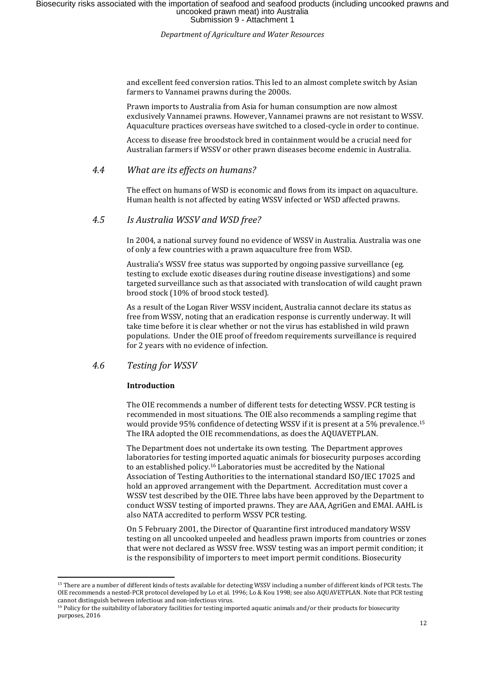*Department of Agriculture and Water Resources*

and excellent feed conversion ratios. This led to an almost complete switch by Asian farmers to Vannamei prawns during the 2000s.

Prawn imports to Australia from Asia for human consumption are now almost exclusively Vannamei prawns. However, Vannamei prawns are not resistant to WSSV. Aquaculture practices overseas have switched to a closed-cycle in order to continue.

Access to disease free broodstock bred in containment would be a crucial need for Australian farmers if WSSV or other prawn diseases become endemic in Australia.

#### <span id="page-12-0"></span>*4.4 What are its effects on humans?*

The effect on humans of WSD is economic and flows from its impact on aquaculture. Human health is not affected by eating WSSV infected or WSD affected prawns.

#### <span id="page-12-1"></span>*4.5 Is Australia WSSV and WSD free?*

In 2004, a national survey found no evidence of WSSV in Australia. Australia was one of only a few countries with a prawn aquaculture free from WSD.

Australia's WSSV free status was supported by ongoing passive surveillance (eg. testing to exclude exotic diseases during routine disease investigations) and some targeted surveillance such as that associated with translocation of wild caught prawn brood stock (10% of brood stock tested).

As a result of the Logan River WSSV incident, Australia cannot declare its status as free from WSSV, noting that an eradication response is currently underway. It will take time before it is clear whether or not the virus has established in wild prawn populations. Under the OIE proof of freedom requirements surveillance is required for 2 years with no evidence of infection.

#### <span id="page-12-2"></span>*4.6 Testing for WSSV*

#### **Introduction**

The OIE recommends a number of different tests for detecting WSSV. PCR testing is recommended in most situations. The OIE also recommends a sampling regime that would provide 95% confidence of detecting WSSV if it is present at a 5% prevalence.<sup>15</sup> The IRA adopted the OIE recommendations, as does the AQUAVETPLAN.

The Department does not undertake its own testing. The Department approves laboratories for testing imported aquatic animals for biosecurity purposes according to an established policy.<sup>16</sup> Laboratories must be accredited by the National Association of Testing Authorities to the international standard ISO/IEC 17025 and hold an approved arrangement with the Department. Accreditation must cover a WSSV test described by the OIE. Three labs have been approved by the Department to conduct WSSV testing of imported prawns. They are AAA, AgriGen and EMAI. AAHL is also NATA accredited to perform WSSV PCR testing.

On 5 February 2001, the Director of Quarantine first introduced mandatory WSSV testing on all uncooked unpeeled and headless prawn imports from countries or zones that were not declared as WSSV free. WSSV testing was an import permit condition; it is the responsibility of importers to meet import permit conditions. Biosecurity

<sup>15</sup> There are a number of different kinds of tests available for detecting WSSV including a number of different kinds of PCR tests. The OIE recommends a nested-PCR protocol developed by Lo et al. 1996; Lo & Kou 1998; see also AQUAVETPLAN. Note that PCR testing cannot distinguish between infectious and non-infectious virus.

<sup>&</sup>lt;sup>16</sup> Policy for the suitability of laboratory facilities for testing imported aquatic animals and/or their products for biosecurity purposes, 2016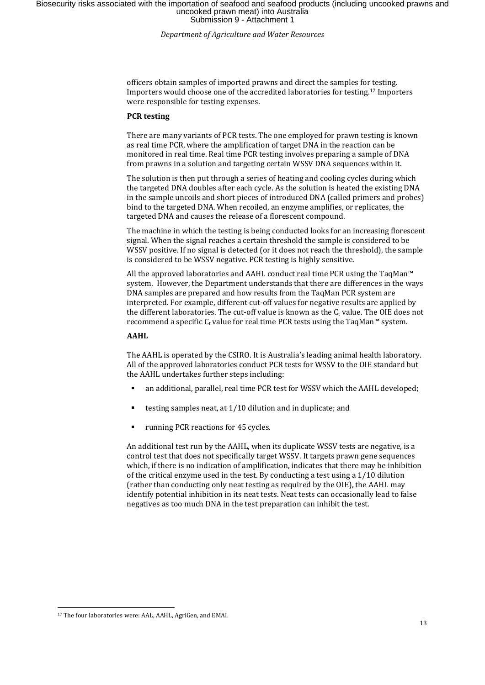*Department of Agriculture and Water Resources*

officers obtain samples of imported prawns and direct the samples for testing. Importers would choose one of the accredited laboratories for testing.<sup>17</sup> Importers were responsible for testing expenses.

#### **PCR testing**

There are many variants of PCR tests. The one employed for prawn testing is known as real time PCR, where the amplification of target DNA in the reaction can be monitored in real time. Real time PCR testing involves preparing a sample of DNA from prawns in a solution and targeting certain WSSV DNA sequences within it.

The solution is then put through a series of heating and cooling cycles during which the targeted DNA doubles after each cycle. As the solution is heated the existing DNA in the sample uncoils and short pieces of introduced DNA (called primers and probes) bind to the targeted DNA. When recoiled, an enzyme amplifies, or replicates, the targeted DNA and causes the release of a florescent compound.

The machine in which the testing is being conducted looks for an increasing florescent signal. When the signal reaches a certain threshold the sample is considered to be WSSV positive. If no signal is detected (or it does not reach the threshold), the sample is considered to be WSSV negative. PCR testing is highly sensitive.

All the approved laboratories and AAHL conduct real time PCR using the TaqMan™ system. However, the Department understands that there are differences in the ways DNA samples are prepared and how results from the TaqMan PCR system are interpreted. For example, different cut-off values for negative results are applied by the different laboratories. The cut-off value is known as the  $C_t$  value. The OIE does not recommend a specific  $C_t$  value for real time PCR tests using the TaqMan™ system.

#### **AAHL**

The AAHL is operated by the CSIRO. It is Australia's leading animal health laboratory. All of the approved laboratories conduct PCR tests for WSSV to the OIE standard but the AAHL undertakes further steps including:

- an additional, parallel, real time PCR test for WSSV which the AAHL developed;
- testing samples neat, at  $1/10$  dilution and in duplicate; and
- running PCR reactions for 45 cycles.

An additional test run by the AAHL, when its duplicate WSSV tests are negative, is a control test that does not specifically target WSSV. It targets prawn gene sequences which, if there is no indication of amplification, indicates that there may be inhibition of the critical enzyme used in the test. By conducting a test using a 1/10 dilution (rather than conducting only neat testing as required by the OIE), the AAHL may identify potential inhibition in its neat tests. Neat tests can occasionally lead to false negatives as too much DNA in the test preparation can inhibit the test.

<sup>&</sup>lt;sup>17</sup> The four laboratories were: AAL, AAHL, AgriGen, and EMAI.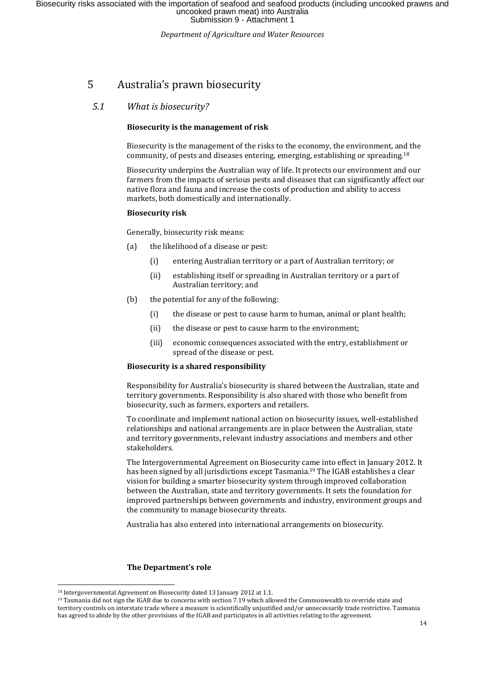*Department of Agriculture and Water Resources*

## <span id="page-14-0"></span>5 Australia's prawn biosecurity

#### <span id="page-14-1"></span>*5.1 What is biosecurity?*

#### **Biosecurity is the management of risk**

Biosecurity is the management of the risks to the economy, the environment, and the community, of pests and diseases entering, emerging, establishing or spreading.<sup>18</sup>

Biosecurity underpins the Australian way of life. It protects our environment and our farmers from the impacts of serious pests and diseases that can significantly affect our native flora and fauna and increase the costs of production and ability to access markets, both domestically and internationally.

#### **Biosecurity risk**

Generally, biosecurity risk means:

- (a) the likelihood of a disease or pest:
	- (i) entering Australian territory or a part of Australian territory; or
	- (ii) establishing itself or spreading in Australian territory or a part of Australian territory; and
- (b) the potential for any of the following:
	- (i) the disease or pest to cause harm to human, animal or plant health;
	- (ii) the disease or pest to cause harm to the environment;
	- (iii) economic consequences associated with the entry, establishment or spread of the disease or pest.

#### **Biosecurity is a shared responsibility**

Responsibility for Australia's biosecurity is shared between the Australian, state and territory governments. Responsibility is also shared with those who benefit from biosecurity, such as farmers, exporters and retailers.

To coordinate and implement national action on biosecurity issues, well-established relationships and national arrangements are in place between the Australian, state and territory governments, relevant industry associations and members and other stakeholders.

The Intergovernmental Agreement on Biosecurity came into effect in January 2012. It has been signed by all jurisdictions except Tasmania. <sup>19</sup> The IGAB establishes a clear vision for building a smarter biosecurity system through improved collaboration between the Australian, state and territory governments. It sets the foundation for improved partnerships between governments and industry, environment groups and the community to manage biosecurity threats.

Australia has also entered into international arrangements on biosecurity.

#### **The Department's role**

<sup>&</sup>lt;sup>18</sup> Intergovernmental Agreement on Biosecurity dated 13 January 2012 at 1.1.

 $19$  Tasmania did not sign the IGAB due to concerns with section 7.19 which allowed the Commonwealth to override state and territory controls on interstate trade where a measure is scientifically unjustified and/or unnecessarily trade restrictive. Tasmania has agreed to abide by the other provisions of the IGAB and participates in all activities relating to the agreement.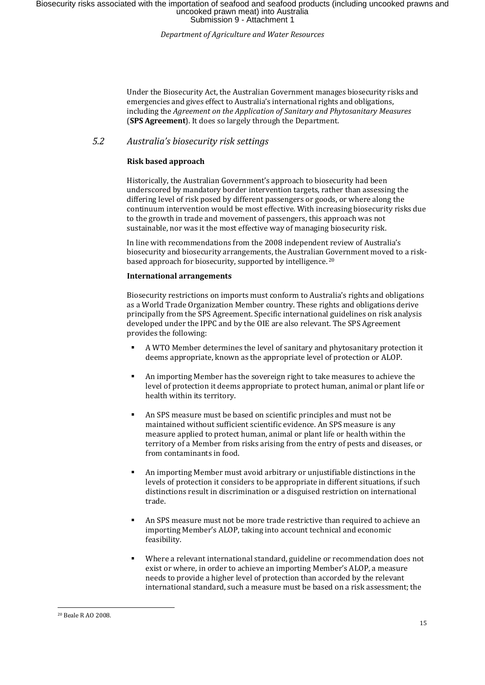*Department of Agriculture and Water Resources*

Under the Biosecurity Act, the Australian Government manages biosecurity risks and emergencies and gives effect to Australia's international rights and obligations, including the *Agreement on the Application of Sanitary and Phytosanitary Measures* (**SPS Agreement**). It does so largely through the Department.

#### <span id="page-15-0"></span>*5.2 Australia's biosecurity risk settings*

#### **Risk based approach**

Historically, the Australian Government's approach to biosecurity had been underscored by mandatory border intervention targets, rather than assessing the differing level of risk posed by different passengers or goods, or where along the continuum intervention would be most effective. With increasing biosecurity risks due to the growth in trade and movement of passengers, this approach was not sustainable, nor was it the most effective way of managing biosecurity risk.

In line with recommendations from the 2008 independent review of Australia's biosecurity and biosecurity arrangements, the Australian Government moved to a riskbased approach for biosecurity, supported by intelligence. <sup>20</sup>

#### **International arrangements**

Biosecurity restrictions on imports must conform to Australia's rights and obligations as a World Trade Organization Member country. These rights and obligations derive principally from the SPS Agreement. Specific international guidelines on risk analysis developed under the IPPC and by the OIE are also relevant. The SPS Agreement provides the following:

- A WTO Member determines the level of sanitary and phytosanitary protection it deems appropriate, known as the appropriate level of protection or ALOP.
- An importing Member has the sovereign right to take measures to achieve the level of protection it deems appropriate to protect human, animal or plant life or health within its territory.
- An SPS measure must be based on scientific principles and must not be maintained without sufficient scientific evidence. An SPS measure is any measure applied to protect human, animal or plant life or health within the territory of a Member from risks arising from the entry of pests and diseases, or from contaminants in food.
- An importing Member must avoid arbitrary or unjustifiable distinctions in the levels of protection it considers to be appropriate in different situations, if such distinctions result in discrimination or a disguised restriction on international trade.
- An SPS measure must not be more trade restrictive than required to achieve an importing Member's ALOP, taking into account technical and economic feasibility.
- Where a relevant international standard, guideline or recommendation does not exist or where, in order to achieve an importing Member's ALOP, a measure needs to provide a higher level of protection than accorded by the relevant international standard, such a measure must be based on a risk assessment; the

<sup>20</sup> Beale R AO 2008.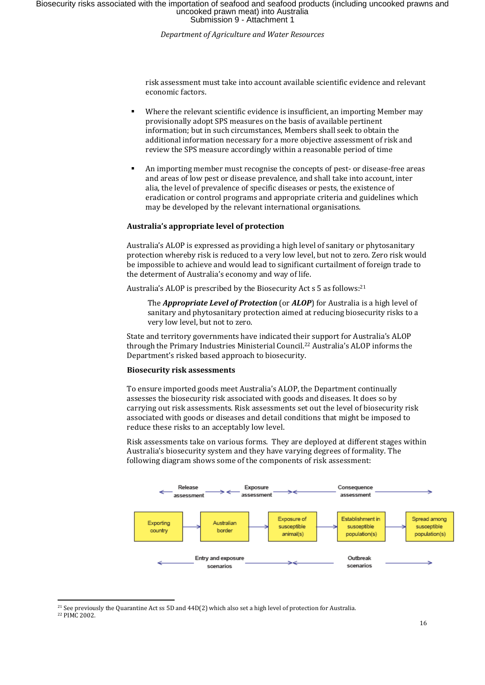*Department of Agriculture and Water Resources*

risk assessment must take into account available scientific evidence and relevant economic factors.

- Where the relevant scientific evidence is insufficient, an importing Member may provisionally adopt SPS measures on the basis of available pertinent information; but in such circumstances, Members shall seek to obtain the additional information necessary for a more objective assessment of risk and review the SPS measure accordingly within a reasonable period of time
- An importing member must recognise the concepts of pest- or disease-free areas and areas of low pest or disease prevalence, and shall take into account, inter alia, the level of prevalence of specific diseases or pests, the existence of eradication or control programs and appropriate criteria and guidelines which may be developed by the relevant international organisations.

#### **Australia's appropriate level of protection**

Australia's ALOP is expressed as providing a high level of sanitary or phytosanitary protection whereby risk is reduced to a very low level, but not to zero. Zero risk would be impossible to achieve and would lead to significant curtailment of foreign trade to the determent of Australia's economy and way of life.

Australia's ALOP is prescribed by the Biosecurity Act s 5 as follows:<sup>21</sup>

The *Appropriate Level of Protection* (or *ALOP*) for Australia is a high level of sanitary and phytosanitary protection aimed at reducing biosecurity risks to a very low level, but not to zero.

State and territory governments have indicated their support for Australia's ALOP through the Primary Industries Ministerial Council.<sup>22</sup> Australia's ALOP informs the Department's risked based approach to biosecurity.

#### **Biosecurity risk assessments**

To ensure imported goods meet Australia's ALOP, the Department continually assesses the biosecurity risk associated with goods and diseases. It does so by carrying out risk assessments. Risk assessments set out the level of biosecurity risk associated with goods or diseases and detail conditions that might be imposed to reduce these risks to an acceptably low level.

Risk assessments take on various forms. They are deployed at different stages within Australia's biosecurity system and they have varying degrees of formality. The following diagram shows some of the components of risk assessment:



<sup>&</sup>lt;sup>21</sup> See previously the Quarantine Act ss 5D and 44D(2) which also set a high level of protection for Australia. <sup>22</sup> PIMC 2002.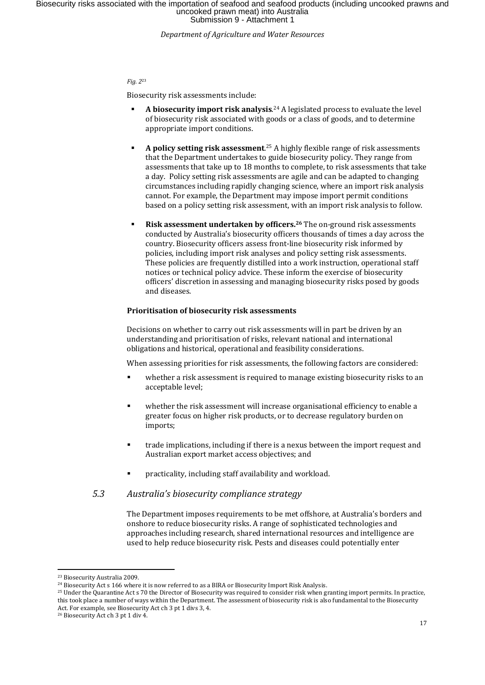*Department of Agriculture and Water Resources*

#### *Fig. 2* 23

Biosecurity risk assessments include:

- **A biosecurity import risk analysis**. <sup>24</sup> A legislated process to evaluate the level of biosecurity risk associated with goods or a class of goods, and to determine appropriate import conditions.
- **A policy setting risk assessment**. <sup>25</sup> A highly flexible range of risk assessments that the Department undertakes to guide biosecurity policy. They range from assessments that take up to 18 months to complete, to risk assessments that take a day. Policy setting risk assessments are agile and can be adapted to changing circumstances including rapidly changing science, where an import risk analysis cannot. For example, the Department may impose import permit conditions based on a policy setting risk assessment, with an import risk analysis to follow.
- **Risk assessment undertaken by officers.<sup>26</sup>** The on-ground risk assessments conducted by Australia's biosecurity officers thousands of times a day across the country. Biosecurity officers assess front-line biosecurity risk informed by policies, including import risk analyses and policy setting risk assessments. These policies are frequently distilled into a work instruction, operational staff notices or technical policy advice. These inform the exercise of biosecurity officers' discretion in assessing and managing biosecurity risks posed by goods and diseases.

#### **Prioritisation of biosecurity risk assessments**

Decisions on whether to carry out risk assessments will in part be driven by an understanding and prioritisation of risks, relevant national and international obligations and historical, operational and feasibility considerations.

When assessing priorities for risk assessments, the following factors are considered:

- whether a risk assessment is required to manage existing biosecurity risks to an acceptable level;
- whether the risk assessment will increase organisational efficiency to enable a greater focus on higher risk products, or to decrease regulatory burden on imports;
- trade implications, including if there is a nexus between the import request and Australian export market access objectives; and
- practicality, including staff availability and workload.

### <span id="page-17-0"></span>*5.3 Australia's biosecurity compliance strategy*

The Department imposes requirements to be met offshore, at Australia's borders and onshore to reduce biosecurity risks. A range of sophisticated technologies and approaches including research, shared international resources and intelligence are used to help reduce biosecurity risk. Pests and diseases could potentially enter

<sup>23</sup> Biosecurity Australia 2009.

 $^{24}$  Biosecurity Act s 166 where it is now referred to as a BIRA or Biosecurity Import Risk Analysis.

<sup>&</sup>lt;sup>25</sup> Under the Quarantine Act s 70 the Director of Biosecurity was required to consider risk when granting import permits. In practice, this took place a number of ways within the Department. The assessment of biosecurity risk is also fundamental to the Biosecurity Act. For example, see Biosecurity Act ch 3 pt 1 divs 3, 4.

<sup>26</sup> Biosecurity Act ch 3 pt 1 div 4.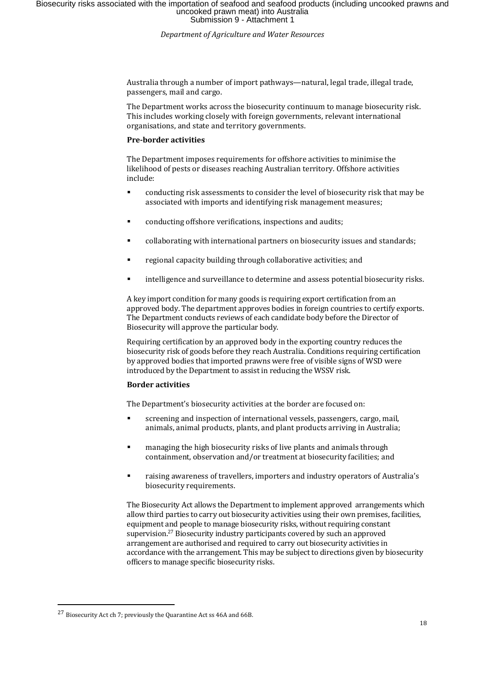*Department of Agriculture and Water Resources*

Australia through a number of import pathways—natural, legal trade, illegal trade, passengers, mail and cargo.

The Department works across the biosecurity continuum to manage biosecurity risk. This includes working closely with foreign governments, relevant international organisations, and state and territory governments.

#### **Pre-border activities**

The Department imposes requirements for offshore activities to minimise the likelihood of pests or diseases reaching Australian territory. Offshore activities include:

- conducting risk assessments to consider the level of biosecurity risk that may be associated with imports and identifying risk management measures;
- conducting offshore verifications, inspections and audits;
- collaborating with international partners on biosecurity issues and standards;
- regional capacity building through collaborative activities; and
- intelligence and surveillance to determine and assess potential biosecurity risks.

A key import condition for many goods is requiring export certification from an approved body. The department approves bodies in foreign countries to certify exports. The Department conducts reviews of each candidate body before the Director of Biosecurity will approve the particular body.

Requiring certification by an approved body in the exporting country reduces the biosecurity risk of goods before they reach Australia. Conditions requiring certification by approved bodies that imported prawns were free of visible signs of WSD were introduced by the Department to assist in reducing the WSSV risk.

#### **Border activities**

The Department's biosecurity activities at the border are focused on:

- screening and inspection of international vessels, passengers, cargo, mail, animals, animal products, plants, and plant products arriving in Australia;
- managing the high biosecurity risks of live plants and animals through containment, observation and/or treatment at biosecurity facilities; and
- raising awareness of travellers, importers and industry operators of Australia's biosecurity requirements.

The Biosecurity Act allows the Department to implement approved arrangements which allow third parties to carry out biosecurity activities using their own premises, facilities, equipment and people to manage biosecurity risks, without requiring constant supervision.<sup>27</sup> Biosecurity industry participants covered by such an approved arrangement are authorised and required to carry out biosecurity activities in accordance with the arrangement. This may be subject to directions given by biosecurity officers to manage specific biosecurity risks.

<sup>&</sup>lt;sup>27</sup> Biosecurity Act ch 7; previously the Quarantine Act ss 46A and 66B.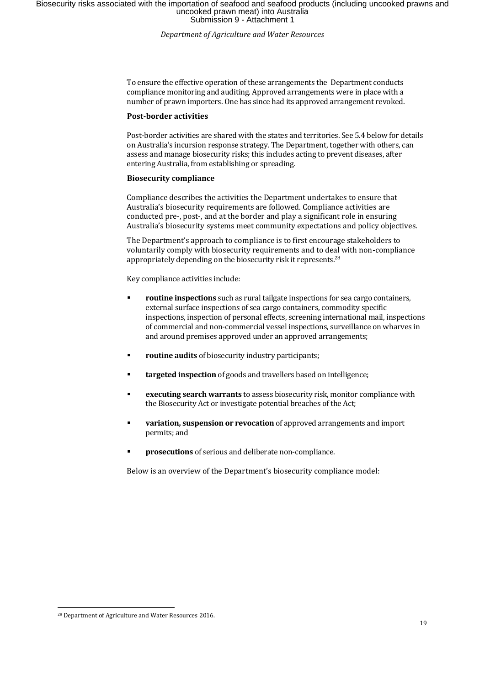*Department of Agriculture and Water Resources*

To ensure the effective operation of these arrangements the Department conducts compliance monitoring and auditing. Approved arrangements were in place with a number of prawn importers. One has since had its approved arrangement revoked.

#### **Post-border activities**

Post-border activities are shared with the states and territories. See 5.4 below for details on Australia's incursion response strategy. The Department, together with others, can assess and manage biosecurity risks; this includes acting to prevent diseases, after entering Australia, from establishing or spreading.

#### **Biosecurity compliance**

Compliance describes the activities the Department undertakes to ensure that Australia's biosecurity requirements are followed. Compliance activities are conducted pre-, post-, and at the border and play a significant role in ensuring Australia's biosecurity systems meet community expectations and policy objectives.

The Department's approach to compliance is to first encourage stakeholders to voluntarily comply with biosecurity requirements and to deal with non-compliance appropriately depending on the biosecurity risk it represents.<sup>28</sup>

Key compliance activities include:

- **routine inspections** such as rural tailgate inspections for sea cargo containers, external surface inspections of sea cargo containers, commodity specific inspections, inspection of personal effects, screening international mail, inspections of commercial and non-commercial vessel inspections, surveillance on wharves in and around premises approved under an approved arrangements;
- **routine audits** of biosecurity industry participants;
- **targeted inspection** of goods and travellers based on intelligence;
- **executing search warrants** to assess biosecurity risk, monitor compliance with the Biosecurity Act or investigate potential breaches of the Act;
- **variation, suspension or revocation** of approved arrangements and import permits; and
- **prosecutions** of serious and deliberate non-compliance.

Below is an overview of the Department's biosecurity compliance model:

<sup>28</sup> Department of Agriculture and Water Resources 2016.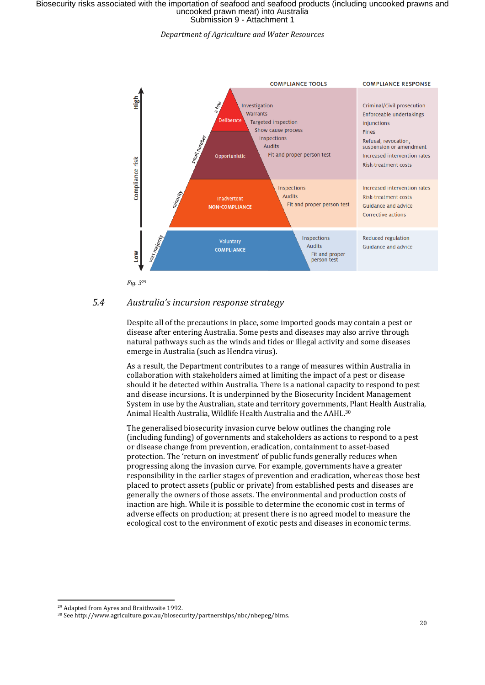#### *Department of Agriculture and Water Resources*



*Fig. 3* 29

#### <span id="page-20-0"></span>*5.4 Australia's incursion response strategy*

Despite all of the precautions in place, some imported goods may contain a pest or disease after entering Australia. Some pests and diseases may also arrive through natural pathways such as the winds and tides or illegal activity and some diseases emerge in Australia (such as Hendra virus).

As a result, the Department contributes to a range of measures within Australia in collaboration with stakeholders aimed at limiting the impact of a pest or disease should it be detected within Australia. There is a national capacity to respond topest and disease incursions. It is underpinned by the Biosecurity Incident Management System in use by the Australian, state and territory governments, Plant Health Australia, Animal Health Australia, Wildlife Health Australia and the AAHL. 30

The generalised biosecurity invasion curve below outlines the changing role (including funding) of governments and stakeholders as actions to respond to a pest or disease change from prevention, eradication, containment to asset-based protection. The 'return on investment' of public funds generally reduces when progressing along the invasion curve. For example, governments have a greater responsibility in the earlier stages of prevention and eradication, whereas those best placed to protect assets (public or private) from established pests and diseases are generally the owners of those assets. The environmental and production costs of inaction are high. While it is possible to determine the economic cost in terms of adverse effects on production; at present there is no agreed model to measure the ecological cost to the environment of exotic pests and diseases in economic terms.

<sup>29</sup> Adapted from Ayres and Braithwaite 1992.

<sup>30</sup> See http://www.agriculture.gov.au/biosecurity/partnerships/nbc/nbepeg/bims.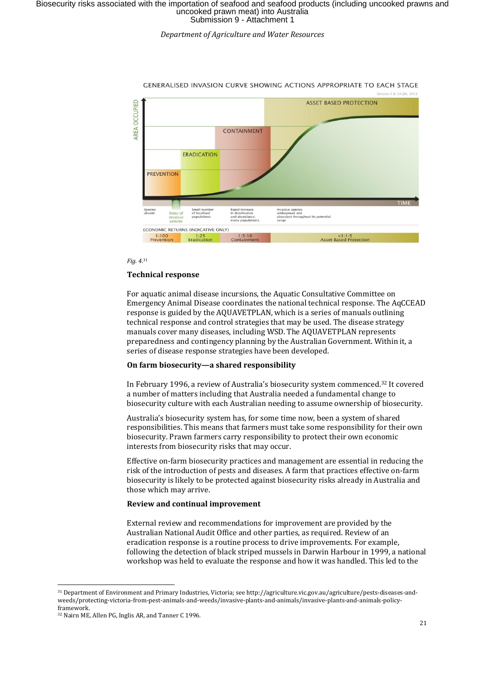*Department of Agriculture and Water Resources*



GENERALISED INVASION CURVE SHOWING ACTIONS APPROPRIATE TO EACH STAGE Version 2.0: 24 JUL 2013

#### *Fig. 4*. 31

#### **Technical response**

For aquatic animal disease incursions, the Aquatic Consultative Committee on Emergency Animal Disease coordinates the national technical response. The AqCCEAD response is guided by the AQUAVETPLAN, which is a series of manuals outlining technical response and control strategies that may be used. The disease strategy manuals cover many diseases, including WSD. The AQUAVETPLAN represents preparedness and contingency planning by the Australian Government. Within it, a series of disease response strategies have been developed.

#### **On farm biosecurity—a shared responsibility**

In February 1996, a review of Australia's biosecurity system commenced.<sup>32</sup> It covered a number of matters including that Australia needed a fundamental change to biosecurity culture with each Australian needing to assume ownership of biosecurity.

Australia's biosecurity system has, for some time now, been a system of shared responsibilities. This means that farmers must take some responsibility for their own biosecurity. Prawn farmers carry responsibility to protect their own economic interests from biosecurity risks that may occur.

Effective on-farm biosecurity practices and management are essential in reducing the risk of the introduction of pests and diseases. A farm that practices effective on-farm biosecurity is likely to be protected against biosecurity risks already in Australia and those which may arrive.

#### **Review and continual improvement**

External review and recommendations for improvement are provided by the Australian National Audit Office and other parties, as required. Review of an eradication response is a routine process to drive improvements. For example, following the detection of black striped mussels in Darwin Harbour in 1999, a national workshop was held to evaluate the response and how it was handled. This led to the

<sup>31</sup> Department of Environment and Primary Industries, Victoria; see http://agriculture.vic.gov.au/agriculture/pests-diseases-andweeds/protecting-victoria-from-pest-animals-and-weeds/invasive-plants-and-animals/invasive-plants-and-animals-policyframework.

<sup>32</sup> Nairn ME, Allen PG, Inglis AR, and Tanner C 1996.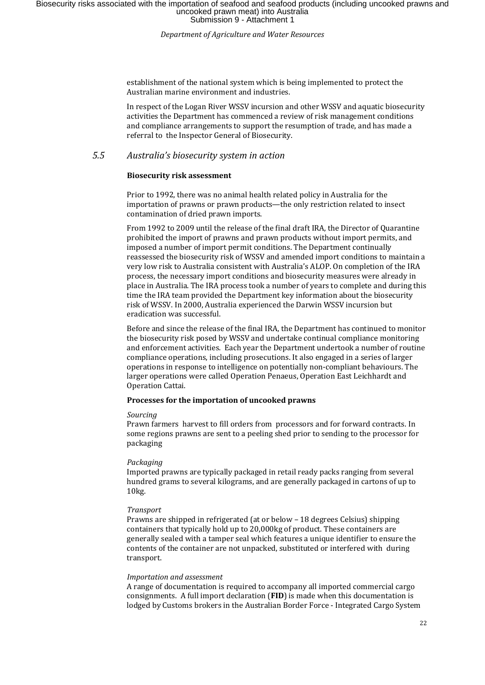*Department of Agriculture and Water Resources*

establishment of the national system which is being implemented to protect the Australian marine environment and industries.

In respect of the Logan River WSSV incursion and other WSSV and aquatic biosecurity activities the Department has commenced a review of risk management conditions and compliance arrangements to support the resumption of trade, and has made a referral to the Inspector General of Biosecurity.

### <span id="page-22-0"></span>*5.5 Australia's biosecurity system in action*

#### **Biosecurity risk assessment**

Prior to 1992, there was no animal health related policy in Australia for the importation of prawns or prawn products—the only restriction related to insect contamination of dried prawn imports.

From 1992 to 2009 until the release of the final draft IRA, the Director of Quarantine prohibited the import of prawns and prawn products without import permits, and imposed a number of import permit conditions. The Department continually reassessed the biosecurity risk of WSSV and amended import conditions to maintain a very low risk to Australia consistent with Australia's ALOP. On completion of the IRA process, the necessary import conditions and biosecurity measures were already in place in Australia. The IRA process took a number of years to complete and during this time the IRA team provided the Department key information about the biosecurity risk of WSSV. In 2000, Australia experienced the Darwin WSSV incursion but eradication was successful.

Before and since the release of the final IRA, the Department has continued to monitor the biosecurity risk posed by WSSV and undertake continual compliance monitoring and enforcement activities. Each year the Department undertook a number of routine compliance operations, including prosecutions. It also engaged in a series of larger operations in response to intelligence on potentially non-compliant behaviours. The larger operations were called Operation Penaeus, Operation East Leichhardt and Operation Cattai.

#### **Processes for the importation of uncooked prawns**

#### *Sourcing*

Prawn farmers harvest to fill orders from processors and for forward contracts. In some regions prawns are sent to a peeling shed prior to sending to the processor for packaging

#### *Packaging*

Imported prawns are typically packaged in retail ready packs ranging from several hundred grams to several kilograms, and are generally packaged in cartons of up to 10kg.

#### *Transport*

Prawns are shipped in refrigerated (at or below – 18 degrees Celsius) shipping containers that typically hold up to 20,000kg of product. These containers are generally sealed with a tamper seal which features a unique identifier to ensure the contents of the container are not unpacked, substituted or interfered with during transport.

#### *Importation and assessment*

A range of documentation is required to accompany all imported commercial cargo consignments. A full import declaration (**FID**) is made when this documentation is lodged by Customs brokers in the Australian Border Force - Integrated Cargo System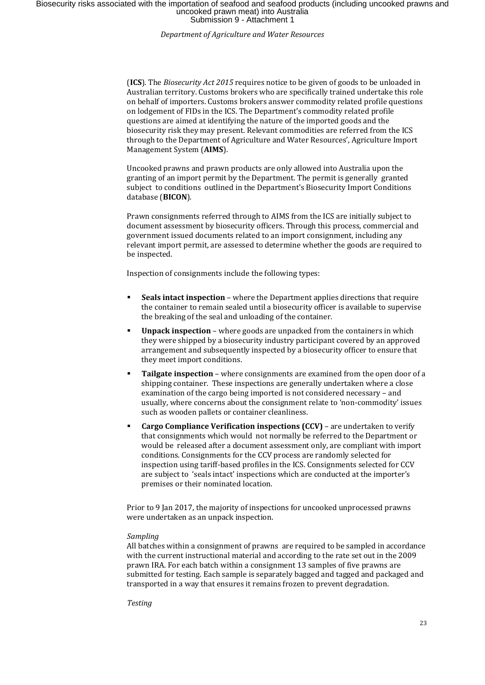*Department of Agriculture and Water Resources*

(**ICS**). The *Biosecurity Act 2015* requires notice to be given of goods to be unloaded in Australian territory. Customs brokers who are specifically trained undertake this role on behalf of importers. Customs brokers answer commodity related profile questions on lodgement of FIDs in the ICS. The Department's commodity related profile questions are aimed at identifying the nature of the imported goods and the biosecurity risk they may present. Relevant commodities are referred from the ICS through to the Department of Agriculture and Water Resources', Agriculture Import Management System (**AIMS**).

Uncooked prawns and prawn products are only allowed into Australia upon the granting of an import permit by the Department. The permit is generally granted subject to conditions outlined in the Department's Biosecurity Import Conditions database (**BICON**).

Prawn consignments referred through to AIMS from the ICS are initially subject to document assessment by biosecurity officers. Through this process, commercial and government issued documents related to an import consignment, including any relevant import permit, are assessed to determine whether the goods are required to be inspected.

Inspection of consignments include the following types:

- **Seals intact inspection** where the Department applies directions that require the container to remain sealed until a biosecurity officer is available to supervise the breaking of the seal and unloading of the container.
- **Unpack inspection** where goods are unpacked from the containers in which they were shipped by a biosecurity industry participant covered by an approved arrangement and subsequently inspected by a biosecurity officer to ensure that they meet import conditions.
- **Tailgate inspection** where consignments are examined from the open door of a shipping container. These inspections are generally undertaken where a close examination of the cargo being imported is not considered necessary – and usually, where concerns about the consignment relate to 'non-commodity' issues such as wooden pallets or container cleanliness.
- **Cargo Compliance Verification inspections (CCV)** are undertaken to verify that consignments which would not normally be referred to the Department or would be released after a document assessment only, are compliant with import conditions. Consignments for the CCV process are randomly selected for inspection using tariff-based profiles in the ICS. Consignments selected for CCV are subject to 'seals intact' inspections which are conducted at the importer's premises or their nominated location.

Prior to 9 Jan 2017, the majority of inspections for uncooked unprocessed prawns were undertaken as an unpack inspection.

#### *Sampling*

All batches within a consignment of prawns are required to be sampled in accordance with the current instructional material and according to the rate set out in the 2009 prawn IRA. For each batch within a consignment 13 samples of five prawns are submitted for testing. Each sample is separately bagged and tagged and packaged and transported in a way that ensures it remains frozen to prevent degradation.

*Testing*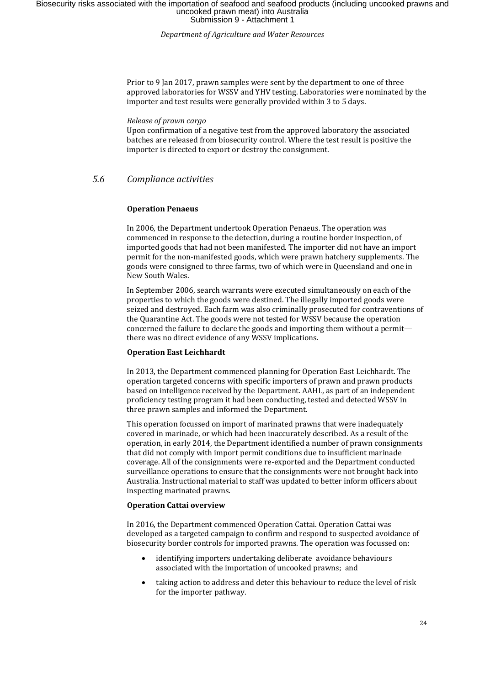*Department of Agriculture and Water Resources*

Prior to 9 Jan 2017, prawn samples were sent by the department to one of three approved laboratories for WSSV and YHV testing. Laboratories were nominated by the importer and test results were generally provided within 3 to 5 days.

#### *Release of prawn cargo*

Upon confirmation of a negative test from the approved laboratory the associated batches are released from biosecurity control. Where the test result is positive the importer is directed to export or destroy the consignment.

### <span id="page-24-0"></span>*5.6 Compliance activities*

#### **Operation Penaeus**

In 2006, the Department undertook Operation Penaeus. The operation was commenced in response to the detection, during a routine border inspection, of imported goods that had not been manifested. The importer did not have an import permit for the non-manifested goods, which were prawn hatchery supplements. The goods were consigned to three farms, two of which were in Queensland and one in New South Wales.

In September 2006, search warrants were executed simultaneously on each of the properties to which the goods were destined. The illegally imported goods were seized and destroyed. Each farm was also criminally prosecuted for contraventions of the Quarantine Act. The goods were not tested for WSSV because the operation concerned the failure to declare the goods and importing them without a permit there was no direct evidence of any WSSV implications.

#### **Operation East Leichhardt**

In 2013, the Department commenced planning for Operation East Leichhardt. The operation targeted concerns with specific importers of prawn and prawn products based on intelligence received by the Department. AAHL, as part of an independent proficiency testing program it had been conducting, tested and detected WSSV in three prawn samples and informed the Department.

This operation focussed on import of marinated prawns that were inadequately covered in marinade, or which had been inaccurately described. As a result of the operation, in early 2014, the Department identified a number of prawn consignments that did not comply with import permit conditions due to insufficient marinade coverage. All of the consignments were re-exported and the Department conducted surveillance operations to ensure that the consignments were not brought back into Australia. Instructional material to staff was updated to better inform officers about inspecting marinated prawns.

#### **Operation Cattai overview**

In 2016, the Department commenced Operation Cattai. Operation Cattai was developed as a targeted campaign to confirm and respond to suspected avoidance of biosecurity border controls for imported prawns. The operation was focussed on:

- identifying importers undertaking deliberate avoidance behaviours associated with the importation of uncooked prawns; and
- taking action to address and deter this behaviour to reduce the level of risk for the importer pathway.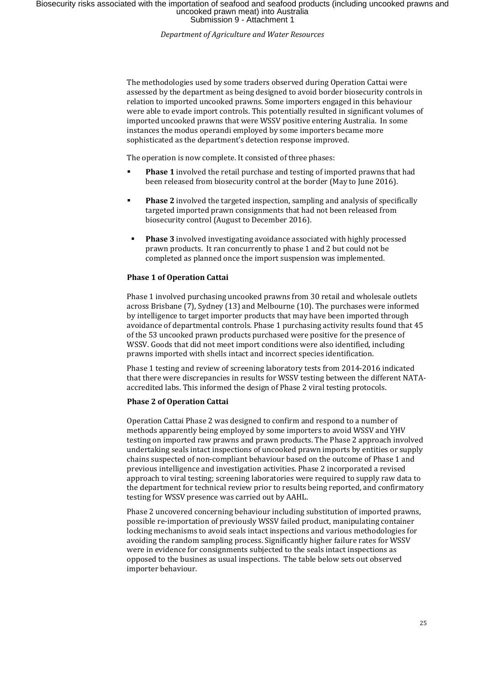*Department of Agriculture and Water Resources*

The methodologies used by some traders observed during Operation Cattai were assessed by the department as being designed to avoid border biosecurity controls in relation to imported uncooked prawns. Some importers engaged in this behaviour were able to evade import controls. This potentially resulted in significant volumes of imported uncooked prawns that were WSSV positive entering Australia. In some instances the modus operandi employed by some importers became more sophisticated as the department's detection response improved.

The operation is now complete. It consisted of three phases:

- **Phase 1** involved the retail purchase and testing of imported prawns that had been released from biosecurity control at the border (May to June 2016).
- **Phase 2** involved the targeted inspection, sampling and analysis of specifically targeted imported prawn consignments that had not been released from biosecurity control (August to December 2016).
- **Phase 3** involved investigating avoidance associated with highly processed prawn products. It ran concurrently to phase 1 and 2 but could not be completed as planned once the import suspension was implemented.

#### **Phase 1 of Operation Cattai**

Phase 1 involved purchasing uncooked prawns from 30 retail and wholesale outlets across Brisbane (7), Sydney (13) and Melbourne (10). The purchases were informed by intelligence to target importer products that may have been imported through avoidance of departmental controls. Phase 1 purchasing activity results found that 45 of the 53 uncooked prawn products purchased were positive for the presence of WSSV. Goods that did not meet import conditions were also identified, including prawns imported with shells intact and incorrect species identification.

Phase 1 testing and review of screening laboratory tests from 2014-2016 indicated that there were discrepancies in results for WSSV testing between the different NATAaccredited labs. This informed the design of Phase 2 viral testing protocols.

#### **Phase 2 of Operation Cattai**

Operation Cattai Phase 2 was designed to confirm and respond to a number of methods apparently being employed by some importers to avoid WSSV and YHV testing on imported raw prawns and prawn products. The Phase 2 approach involved undertaking seals intact inspections of uncooked prawn imports by entities or supply chains suspected of non-compliant behaviour based on the outcome of Phase 1 and previous intelligence and investigation activities. Phase 2 incorporated a revised approach to viral testing; screening laboratories were required to supply raw data to the department for technical review prior to results being reported, and confirmatory testing for WSSV presence was carried out by AAHL.

Phase 2 uncovered concerning behaviour including substitution of imported prawns, possible re-importation of previously WSSV failed product, manipulating container locking mechanisms to avoid seals intact inspections and various methodologies for avoiding the random sampling process. Significantly higher failure rates for WSSV were in evidence for consignments subjected to the seals intact inspections as opposed to the busines as usual inspections. The table below sets out observed importer behaviour.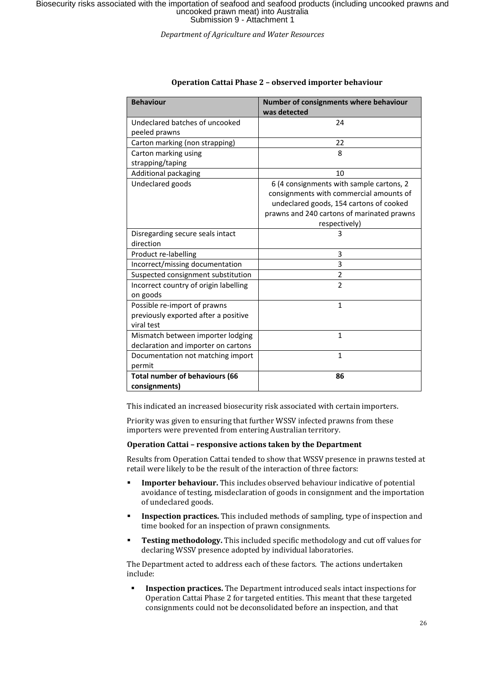*Department of Agriculture and Water Resources*

| <b>Behaviour</b>                      | Number of consignments where behaviour     |
|---------------------------------------|--------------------------------------------|
|                                       | was detected                               |
| Undeclared batches of uncooked        | 24                                         |
| peeled prawns                         |                                            |
| Carton marking (non strapping)        | 22                                         |
| Carton marking using                  | 8                                          |
| strapping/taping                      |                                            |
| Additional packaging                  | 10                                         |
| Undeclared goods                      | 6 (4 consignments with sample cartons, 2   |
|                                       | consignments with commercial amounts of    |
|                                       | undeclared goods, 154 cartons of cooked    |
|                                       | prawns and 240 cartons of marinated prawns |
|                                       | respectively)                              |
| Disregarding secure seals intact      | 3                                          |
| direction                             |                                            |
| Product re-labelling                  | 3                                          |
| Incorrect/missing documentation       | 3                                          |
| Suspected consignment substitution    | 2                                          |
| Incorrect country of origin labelling | $\overline{2}$                             |
| on goods                              |                                            |
| Possible re-import of prawns          | $\mathbf{1}$                               |
| previously exported after a positive  |                                            |
| viral test                            |                                            |
| Mismatch between importer lodging     | $\mathbf{1}$                               |
| declaration and importer on cartons   |                                            |
| Documentation not matching import     | $\mathbf{1}$                               |
| permit                                |                                            |
| <b>Total number of behaviours (66</b> | 86                                         |
| consignments)                         |                                            |

#### **Operation Cattai Phase 2 – observed importer behaviour**

This indicated an increased biosecurity risk associated with certain importers.

Priority was given to ensuring that further WSSV infected prawns from these importers were prevented from entering Australian territory.

#### **Operation Cattai – responsive actions taken by the Department**

Results from Operation Cattai tended to show that WSSV presence in prawns tested at retail were likely to be the result of the interaction of three factors:

- **Importer behaviour.** This includes observed behaviour indicative of potential avoidance of testing, misdeclaration of goods in consignment and the importation of undeclared goods.
- **Inspection practices.** This included methods of sampling, type of inspection and time booked for an inspection of prawn consignments.
- **Testing methodology.** This included specific methodology and cut off values for declaring WSSV presence adopted by individual laboratories.

The Department acted to address each of these factors. The actions undertaken include:

 **Inspection practices.** The Department introduced seals intact inspections for Operation Cattai Phase 2 for targeted entities. This meant that these targeted consignments could not be deconsolidated before an inspection, and that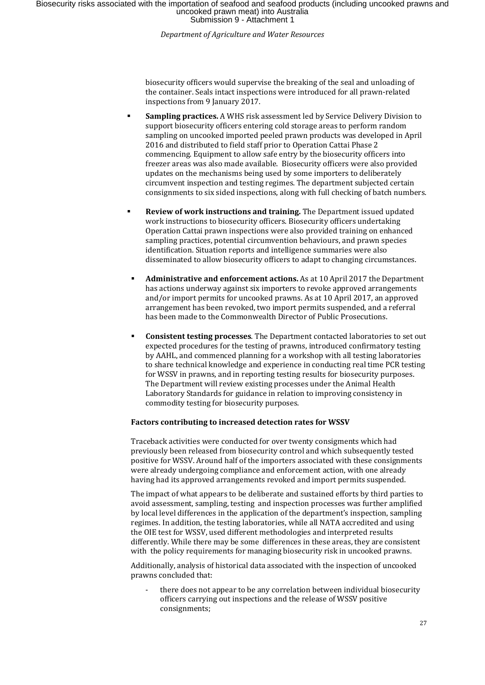*Department of Agriculture and Water Resources*

biosecurity officers would supervise the breaking of the seal and unloading of the container. Seals intact inspections were introduced for all prawn-related inspections from 9 January 2017.

- **Sampling practices.** A WHS risk assessment led by Service Delivery Division to support biosecurity officers entering cold storage areas to perform random sampling on uncooked imported peeled prawn products was developed in April 2016 and distributed to field staff prior to Operation Cattai Phase 2 commencing. Equipment to allow safe entry by the biosecurity officers into freezer areas was also made available. Biosecurity officers were also provided updates on the mechanisms being used by some importers to deliberately circumvent inspection and testing regimes. The department subjected certain consignments to six sided inspections, along with full checking of batch numbers.
- **Review of work instructions and training.** The Department issued updated work instructions to biosecurity officers. Biosecurity officers undertaking Operation Cattai prawn inspections were also provided training on enhanced sampling practices, potential circumvention behaviours, and prawn species identification. Situation reports and intelligence summaries were also disseminated to allow biosecurity officers to adapt to changing circumstances.
- **Administrative and enforcement actions.** As at 10 April 2017 the Department has actions underway against six importers to revoke approved arrangements and/or import permits for uncooked prawns. As at 10 April 2017, an approved arrangement has been revoked, two import permits suspended, and a referral has been made to the Commonwealth Director of Public Prosecutions.
- **Consistent testing processes**. The Department contacted laboratories to set out expected procedures for the testing of prawns, introduced confirmatory testing by AAHL, and commenced planning for a workshop with all testing laboratories to share technical knowledge and experience in conducting real time PCR testing for WSSV in prawns, and in reporting testing results for biosecurity purposes. The Department will review existing processes under the Animal Health Laboratory Standards for guidance in relation to improving consistency in commodity testing for biosecurity purposes.

#### **Factors contributing to increased detection rates for WSSV**

Traceback activities were conducted for over twenty consigments which had previously been released from biosecurity control and which subsequently tested positive for WSSV. Around half of the importers associated with these consignments were already undergoing compliance and enforcement action, with one already having had its approved arrangements revoked and import permits suspended.

The impact of what appears to be deliberate and sustained efforts by third parties to avoid assessment, sampling, testing and inspection processes was further amplified by local level differences in the application of the department's inspection, sampling regimes. In addition, the testing laboratories, while all NATA accredited and using the OIE test for WSSV, used different methodologies and interpreted results differently. While there may be some differences in these areas, they are consistent with the policy requirements for managing biosecurity risk in uncooked prawns.

Additionally, analysis of historical data associated with the inspection of uncooked prawns concluded that:

there does not appear to be any correlation between individual biosecurity officers carrying out inspections and the release of WSSV positive consignments;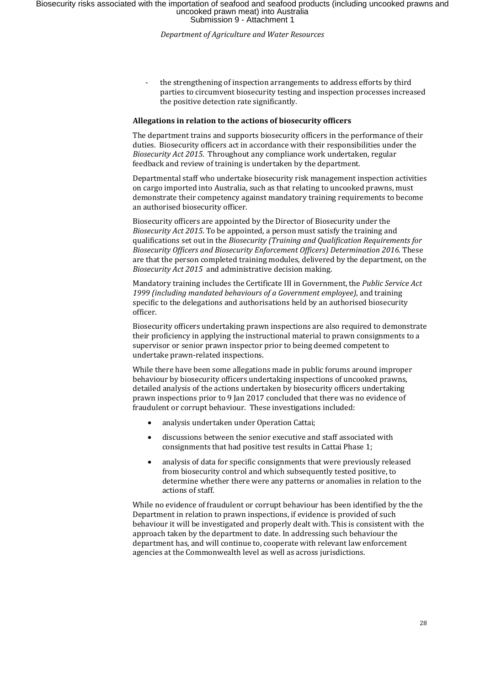*Department of Agriculture and Water Resources*

the strengthening of inspection arrangements to address efforts by third parties to circumvent biosecurity testing and inspection processes increased the positive detection rate significantly.

#### **Allegations in relation to the actions of biosecurity officers**

The department trains and supports biosecurity officers in the performance of their duties. Biosecurity officers act in accordance with their responsibilities under the *Biosecurity Act 2015*. Throughout any compliance work undertaken, regular feedback and review of training is undertaken by the department.

Departmental staff who undertake biosecurity risk management inspection activities on cargo imported into Australia, such as that relating to uncooked prawns, must demonstrate their competency against mandatory training requirements to become an authorised biosecurity officer.

Biosecurity officers are appointed by the Director of Biosecurity under the *Biosecurity Act 2015*. To be appointed, a person must satisfy the training and qualifications set out in the *Biosecurity (Training and Qualification Requirements for Biosecurity Officers and Biosecurity Enforcement Officers) Determination 2016*. These are that the person completed training modules, delivered by the department, on the *Biosecurity Act 2015* and administrative decision making.

Mandatory training includes the Certificate III in Government, the *Public Service Act 1999 (including mandated behaviours of a Government employee)*, and training specific to the delegations and authorisations held by an authorised biosecurity officer.

Biosecurity officers undertaking prawn inspections are also required to demonstrate their proficiency in applying the instructional material to prawn consignments to a supervisor or senior prawn inspector prior to being deemed competent to undertake prawn-related inspections.

While there have been some allegations made in public forums around improper behaviour by biosecurity officers undertaking inspections of uncooked prawns, detailed analysis of the actions undertaken by biosecurity officers undertaking prawn inspections prior to 9 Jan 2017 concluded that there was no evidence of fraudulent or corrupt behaviour. These investigations included:

- analysis undertaken under Operation Cattai;
- discussions between the senior executive and staff associated with consignments that had positive test results in Cattai Phase 1;
- analysis of data for specific consignments that were previously released from biosecurity control and which subsequently tested positive, to determine whether there were any patterns or anomalies in relation to the actions of staff.

While no evidence of fraudulent or corrupt behaviour has been identified by the the Department in relation to prawn inspections, if evidence is provided of such behaviour it will be investigated and properly dealt with. This is consistent with the approach taken by the department to date. In addressing such behaviour the department has, and will continue to, cooperate with relevant law enforcement agencies at the Commonwealth level as well as across jurisdictions.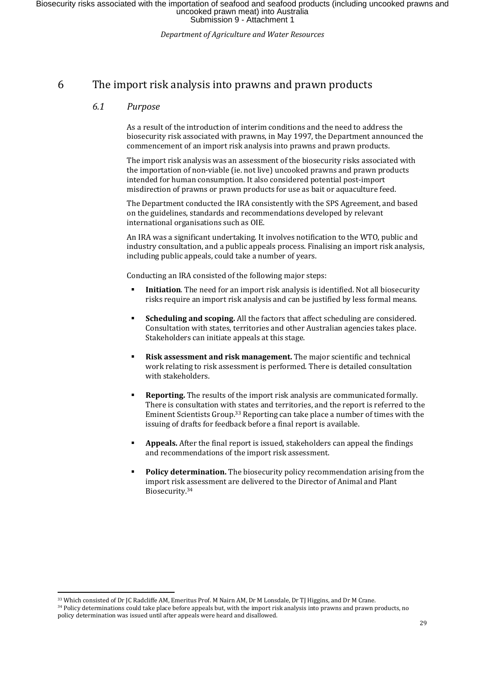*Department of Agriculture and Water Resources*

## <span id="page-29-0"></span>6 The import risk analysis into prawns and prawn products

### <span id="page-29-1"></span>*6.1 Purpose*

As a result of the introduction of interim conditions and the need to address the biosecurity risk associated with prawns, in May 1997, the Department announced the commencement of an import risk analysis into prawns and prawn products.

The import risk analysis was an assessment of the biosecurity risks associated with the importation of non-viable (ie. not live) uncooked prawns and prawn products intended for human consumption. It also considered potential post-import misdirection of prawns or prawn products for use as bait or aquaculture feed.

The Department conducted the IRA consistently with the SPS Agreement, and based on the guidelines, standards and recommendations developed by relevant international organisations such as OIE.

An IRA was a significant undertaking. It involves notification to the WTO, public and industry consultation, and a public appeals process. Finalising an import risk analysis, including public appeals, could take a number of years.

Conducting an IRA consisted of the following major steps:

- **Initiation**. The need for an import risk analysis is identified. Not all biosecurity risks require an import risk analysis and can be justified by less formal means.
- **Scheduling and scoping.** All the factors that affect scheduling are considered. Consultation with states, territories and other Australian agencies takes place. Stakeholders can initiate appeals at this stage.
- **Risk assessment and risk management.** The major scientific and technical work relating to risk assessment is performed. There is detailed consultation with stakeholders.
- **Reporting.** The results of the import risk analysis are communicated formally. There is consultation with states and territories, and the report is referred to the Eminent Scientists Group.<sup>33</sup> Reporting can take place a number of times with the issuing of drafts for feedback before a final report is available.
- **Appeals.** After the final report is issued, stakeholders can appeal the findings and recommendations of the import risk assessment.
- **Policy determination.** The biosecurity policy recommendation arising from the import risk assessment are delivered to the Director of Animal and Plant Biosecurity.<sup>34</sup>

<sup>&</sup>lt;sup>33</sup> Which consisted of Dr JC Radcliffe AM, Emeritus Prof. M Nairn AM, Dr M Lonsdale, Dr TJ Higgins, and Dr M Crane.

<sup>34</sup> Policy determinations could take place before appeals but, with the import risk analysis into prawns and prawn products, no policy determination was issued until after appeals were heard and disallowed.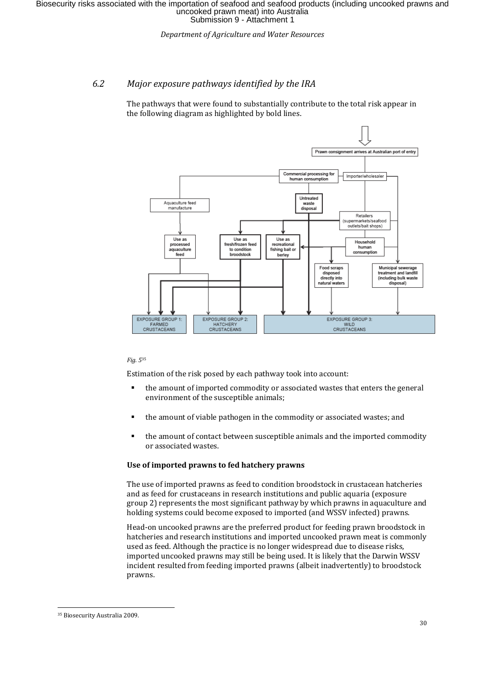*Department of Agriculture and Water Resources*

## <span id="page-30-0"></span>*6.2 Major exposure pathways identified by the IRA*

The pathways that were found to substantially contribute to the total risk appear in the following diagram as highlighted by bold lines.



#### *Fig. 5* 35

Estimation of the risk posed by each pathway took into account:

- the amount of imported commodity or associated wastes that enters the general environment of the susceptible animals;
- the amount of viable pathogen in the commodity or associated wastes; and
- the amount of contact between susceptible animals and the imported commodity or associated wastes.

#### **Use of imported prawns to fed hatchery prawns**

The use of imported prawns as feed to condition broodstock in crustacean hatcheries and as feed for crustaceans in research institutions and public aquaria (exposure group 2) represents the most significant pathway by which prawns in aquaculture and holding systems could become exposed to imported (and WSSV infected) prawns.

Head-on uncooked prawns are the preferred product for feeding prawn broodstock in hatcheries and research institutions and imported uncooked prawn meat is commonly used as feed. Although the practice is no longer widespread due to disease risks, imported uncooked prawns may still be being used. It is likely that the Darwin WSSV incident resulted from feeding imported prawns (albeit inadvertently) to broodstock prawns.

<sup>&</sup>lt;sup>35</sup> Biosecurity Australia 2009.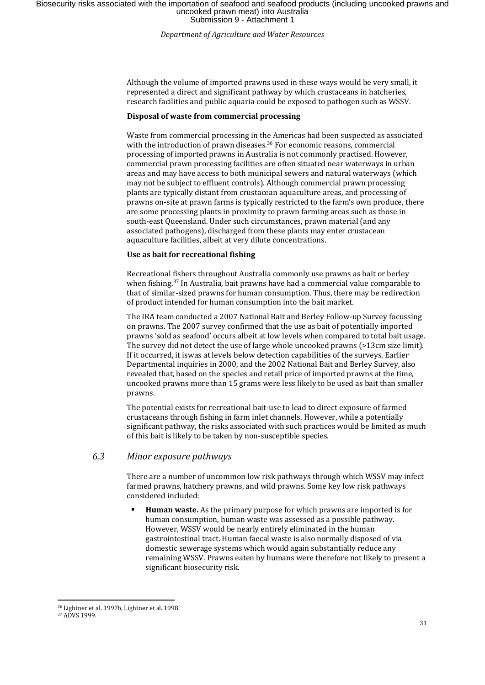*Department of Agriculture and Water Resources*

Although the volume of imported prawns used in these ways would be very small, it represented a direct and significant pathway by which crustaceans in hatcheries, research facilities and public aquaria could be exposed to pathogen such as WSSV.

#### **Disposal of waste from commercial processing**

Waste from commercial processing in the Americas had been suspected as associated with the introduction of prawn diseases.<sup>36</sup> For economic reasons, commercial processing of imported prawns in Australia is not commonly practised. However, commercial prawn processing facilities are often situated near waterways in urban areas and may have access to both municipal sewers and natural waterways (which may not be subject to effluent controls). Although commercial prawn processing plants are typically distant from crustacean aquaculture areas, and processing of prawns on-site at prawn farms is typically restricted to the farm's own produce, there are some processing plants in proximity to prawn farming areas such as those in south-east Queensland. Under such circumstances, prawn material (and any associated pathogens), discharged from these plants may enter crustacean aquaculture facilities, albeit at very dilute concentrations.

#### **Use as bait for recreational fishing**

Recreational fishers throughout Australia commonly use prawns as bait or berley when fishing.<sup>37</sup> In Australia, bait prawns have had a commercial value comparable to that of similar-sized prawns for human consumption. Thus, there may be redirection of product intended for human consumption into the bait market.

The IRA team conducted a 2007 National Bait and Berley Follow-up Survey focussing on prawns. The 2007 survey confirmed that the use as bait of potentially imported prawns 'sold as seafood' occurs albeit at low levels when compared to total bait usage. The survey did not detect the use of large whole uncooked prawns (>13cm size limit). If it occurred, it iswas at levels below detection capabilities of the surveys. Earlier Departmental inquiries in 2000, and the 2002 National Bait and Berley Survey, also revealed that, based on the species and retail price of imported prawns at the time, uncooked prawns more than 15 grams were less likely to be used as bait than smaller prawns.

The potential exists for recreational bait-use to lead to direct exposure of farmed crustaceans through fishing in farm inlet channels. However, while a potentially significant pathway, the risks associated with such practices would be limited as much of this bait is likely to be taken by non-susceptible species.

#### <span id="page-31-0"></span>*6.3 Minor exposure pathways*

There are a number of uncommon low risk pathways through which WSSV may infect farmed prawns, hatchery prawns, and wild prawns. Some key low risk pathways considered included:

 **Human waste.** As the primary purpose for which prawns are imported is for human consumption, human waste was assessed as a possible pathway. However, WSSV would be nearly entirely eliminated in the human gastrointestinal tract. Human faecal waste is also normally disposed of via domestic sewerage systems which would again substantially reduce any remaining WSSV. Prawns eaten by humans were therefore not likely to present a significant biosecurity risk.

<sup>36</sup> Lightner et al. 1997b, Lightner et al. 1998.

<sup>37</sup> ADVS 1999.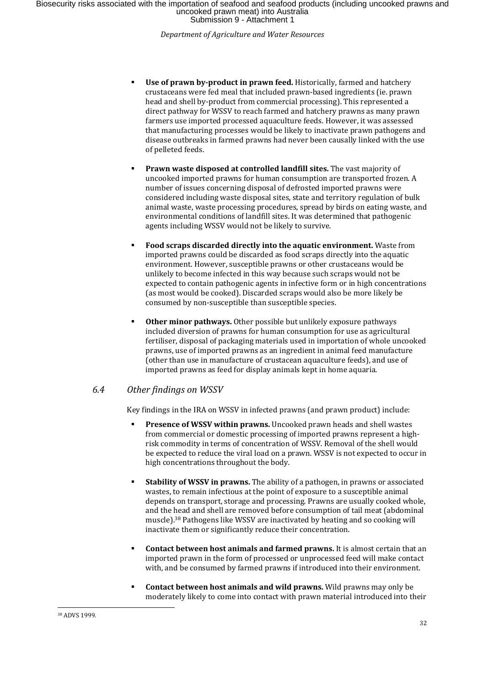*Department of Agriculture and Water Resources*

- **Use of prawn by-product in prawn feed.** Historically, farmed and hatchery crustaceans were fed meal that included prawn-based ingredients (ie. prawn head and shell by-product from commercial processing). This represented a direct pathway for WSSV to reach farmed and hatchery prawns as many prawn farmers use imported processed aquaculture feeds. However, it was assessed that manufacturing processes would be likely to inactivate prawn pathogens and disease outbreaks in farmed prawns had never been causally linked with the use of pelleted feeds.
- **Prawn waste disposed at controlled landfill sites.** The vast majority of uncooked imported prawns for human consumption are transported frozen. A number of issues concerning disposal of defrosted imported prawns were considered including waste disposal sites, state and territory regulation of bulk animal waste, waste processing procedures, spread by birds on eating waste, and environmental conditions of landfill sites. It was determined that pathogenic agents including WSSV would not be likely to survive.
- **Food scraps discarded directly into the aquatic environment.** Waste from imported prawns could be discarded as food scraps directly into the aquatic environment. However, susceptible prawns or other crustaceans would be unlikely to become infected in this way because such scraps would not be expected to contain pathogenic agents in infective form or in high concentrations (as most would be cooked). Discarded scraps would also be more likely be consumed by non-susceptible than susceptible species.
- **Other minor pathways.** Other possible but unlikely exposure pathways included diversion of prawns for human consumption for use as agricultural fertiliser, disposal of packaging materials used in importation of whole uncooked prawns, use of imported prawns as an ingredient in animal feed manufacture (other than use in manufacture of crustacean aquaculture feeds), and use of imported prawns as feed for display animals kept in home aquaria.

## <span id="page-32-0"></span>*6.4 Other findings on WSSV*

Key findings in the IRA on WSSV in infected prawns (and prawn product) include:

- **Presence of WSSV within prawns.** Uncooked prawn heads and shell wastes from commercial or domestic processing of imported prawns represent a highrisk commodity in terms of concentration of WSSV. Removal of the shell would be expected to reduce the viral load on a prawn. WSSV is not expected to occur in high concentrations throughout the body.
- **Stability of WSSV in prawns.** The ability of a pathogen, in prawns or associated wastes, to remain infectious at the point of exposure to a susceptible animal depends on transport, storage and processing. Prawns are usually cooked whole, and the head and shell are removed before consumption of tail meat (abdominal muscle).<sup>38</sup> Pathogens like WSSV are inactivated by heating and so cooking will inactivate them or significantly reduce their concentration.
- **Contact between host animals and farmed prawns.** It is almost certain that an imported prawn in the form of processed or unprocessed feed will make contact with, and be consumed by farmed prawns if introduced into their environment.
- **Contact between host animals and wild prawns.** Wild prawns may only be moderately likely to come into contact with prawn material introduced into their

<sup>38</sup> ADVS 1999.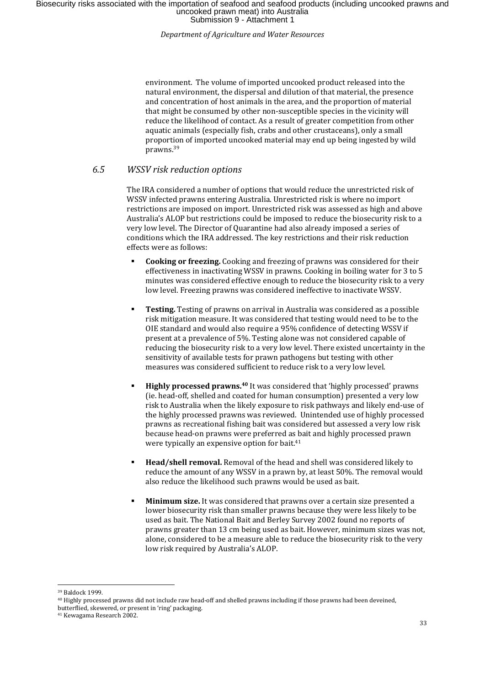*Department of Agriculture and Water Resources*

environment. The volume of imported uncooked product released into the natural environment, the dispersal and dilution of that material, the presence and concentration of host animals in the area, and the proportion of material that might be consumed by other non-susceptible species in the vicinity will reduce the likelihood of contact. As a result of greater competition from other aquatic animals (especially fish, crabs and other crustaceans), only a small proportion of imported uncooked material may end up being ingested by wild prawns.<sup>39</sup>

### <span id="page-33-0"></span>*6.5 WSSV risk reduction options*

The IRA considered a number of options that would reduce the unrestricted risk of WSSV infected prawns entering Australia. Unrestricted risk is where no import restrictions are imposed on import. Unrestricted risk was assessed as high and above Australia's ALOP but restrictions could be imposed to reduce the biosecurity risk to a very low level. The Director of Quarantine had also already imposed a series of conditions which the IRA addressed. The key restrictions and their risk reduction effects were as follows:

- **Cooking or freezing.** Cooking and freezing of prawns was considered for their effectiveness in inactivating WSSV in prawns. Cooking in boiling water for 3 to 5 minutes was considered effective enough to reduce the biosecurity risk to a very low level. Freezing prawns was considered ineffective to inactivate WSSV.
- **Testing.** Testing of prawns on arrival in Australia was considered as a possible risk mitigation measure. It was considered that testing would need to be to the OIE standard and would also require a 95% confidence of detecting WSSV if present at a prevalence of 5%. Testing alone was not considered capable of reducing the biosecurity risk to a very low level. There existed uncertainty in the sensitivity of available tests for prawn pathogens but testing with other measures was considered sufficient to reduce risk to a very low level.
- **Highly processed prawns.<sup>40</sup>** It was considered that 'highly processed' prawns (ie. head-off, shelled and coated for human consumption) presented a very low risk to Australia when the likely exposure to risk pathways and likely end-use of the highly processed prawns was reviewed. Unintended use of highly processed prawns as recreational fishing bait was considered but assessed a very low risk because head-on prawns were preferred as bait and highly processed prawn were typically an expensive option for bait.<sup>41</sup>
- **Head/shell removal.** Removal of the head and shell was considered likely to reduce the amount of any WSSV in a prawn by, at least 50%. The removal would also reduce the likelihood such prawns would be used as bait.
- **Minimum size.** It was considered that prawns over a certain size presented a lower biosecurity risk than smaller prawns because they were less likely to be used as bait. The National Bait and Berley Survey 2002 found no reports of prawns greater than 13 cm being used as bait. However, minimum sizes was not, alone, considered to be a measure able to reduce the biosecurity risk to the very low risk required by Australia's ALOP.

<sup>39</sup> Baldock 1999.

<sup>40</sup> Highly processed prawns did not include raw head-off and shelled prawns including if those prawns had been deveined, butterflied, skewered, or present in 'ring' packaging.

<sup>41</sup> Kewagama Research 2002.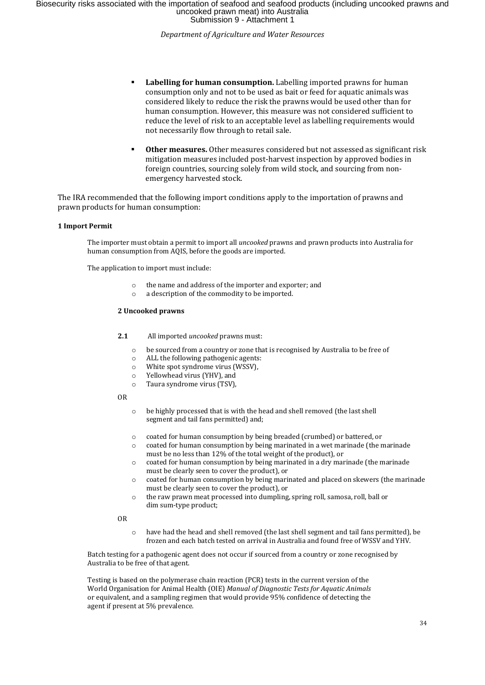*Department of Agriculture and Water Resources*

- **Labelling for human consumption.** Labelling imported prawns for human consumption only and not to be used as bait or feed for aquatic animals was considered likely to reduce the risk the prawns would be used other than for human consumption. However, this measure was not considered sufficient to reduce the level of risk to an acceptable level as labelling requirements would not necessarily flow through to retail sale.
- **Other measures.** Other measures considered but not assessed as significant risk mitigation measures included post-harvest inspection by approved bodies in foreign countries, sourcing solely from wild stock, and sourcing from nonemergency harvested stock.

The IRA recommended that the following import conditions apply to the importation of prawns and prawn products for human consumption:

#### **1 Import Permit**

The importer must obtain a permit to import all *uncooked* prawns and prawn products into Australia for human consumption from AQIS, before the goods are imported.

The application to import must include:

- o the name and address of the importer and exporter; and
- o a description of the commodity to be imported.

#### **2 Uncooked prawns**

- **2.1** All imported *uncooked* prawns must:
	- o be sourced from a country or zone that is recognised by Australia to be free of
	- o ALL the following pathogenic agents:
	- o White spot syndrome virus (WSSV),
	- o Yellowhead virus (YHV), and
	- o Taura syndrome virus (TSV),

OR

- o be highly processed that is with the head and shell removed (the last shell segment and tail fans permitted) and;
- o coated for human consumption by being breaded (crumbed) or battered, or
- $\circ$  coated for human consumption by being marinated in a wet marinade (the marinade must be no less than 12% of the total weight of the product), or
- $\circ$  coated for human consumption by being marinated in a dry marinade (the marinade must be clearly seen to cover the product), or
- $\circ$  coated for human consumption by being marinated and placed on skewers (the marinade must be clearly seen to cover the product), or
- o the raw prawn meat processed into dumpling, spring roll, samosa, roll, ball or dim sum-type product;

OR

o have had the head and shell removed (the last shell segment and tail fans permitted), be frozen and each batch tested on arrival in Australia and found free of WSSV and YHV.

Batch testing for a pathogenic agent does not occur if sourced from a country or zone recognised by Australia to be free of that agent.

Testing is based on the polymerase chain reaction (PCR) tests in the current version of the World Organisation for Animal Health (OIE) *Manual of Diagnostic Tests for Aquatic Animals* or equivalent, and a sampling regimen that would provide 95% confidence of detecting the agent if present at 5% prevalence.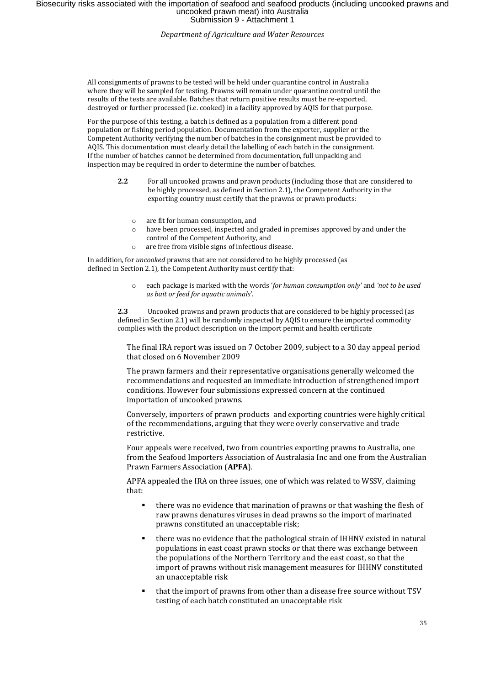*Department of Agriculture and Water Resources*

All consignments of prawns to be tested will be held under quarantine control in Australia where they will be sampled for testing. Prawns will remain under quarantine control until the results of the tests are available. Batches that return positive results must be re-exported, destroyed or further processed (i.e. cooked) in a facility approved by AQIS for that purpose.

For the purpose of this testing, a batch is defined as a population from a different pond population or fishing period population. Documentation from the exporter, supplier or the Competent Authority verifying the number of batches in the consignment must be provided to AQIS. This documentation must clearly detail the labelling of each batch in the consignment. If the number of batches cannot be determined from documentation, full unpacking and inspection may be required in order to determine the number of batches.

- **2.2** For all uncooked prawns and prawn products (including those that are considered to be highly processed, as defined in Section 2.1), the Competent Authority in the exporting country must certify that the prawns or prawn products:
	- o are fit for human consumption, and
	- o have been processed, inspected and graded in premises approved by and under the control of the Competent Authority, and
	- o are free from visible signs of infectious disease.

In addition, for *uncooked* prawns that are not considered to be highly processed (as defined in Section 2.1), the Competent Authority must certify that:

> o each package is marked with the words '*for human consumption only'* and *'not to be used as bait or feed for aquatic animals*'.

**2.3** Uncooked prawns and prawn products that are considered to be highly processed (as defined in Section 2.1) will be randomly inspected by AQIS to ensure the imported commodity complies with the product description on the import permit and health certificate

The final IRA report was issued on 7 October 2009, subject to a 30 day appeal period that closed on 6 November 2009

The prawn farmers and their representative organisations generally welcomed the recommendations and requested an immediate introduction of strengthened import conditions. However four submissions expressed concern at the continued importation of uncooked prawns.

Conversely, importers of prawn products and exporting countries were highly critical of the recommendations, arguing that they were overly conservative and trade restrictive.

Four appeals were received, two from countries exporting prawns to Australia, one from the Seafood Importers Association of Australasia Inc and one from the Australian Prawn Farmers Association (**APFA**).

APFA appealed the IRA on three issues, one of which was related to WSSV, claiming that:

- there was no evidence that marination of prawns or that washing the flesh of raw prawns denatures viruses in dead prawns so the import of marinated prawns constituted an unacceptable risk;
- there was no evidence that the pathological strain of IHHNV existed in natural populations in east coast prawn stocks or that there was exchange between the populations of the Northern Territory and the east coast, so that the import of prawns without risk management measures for IHHNV constituted an unacceptable risk
- that the import of prawns from other than a disease free source without TSV testing of each batch constituted an unacceptable risk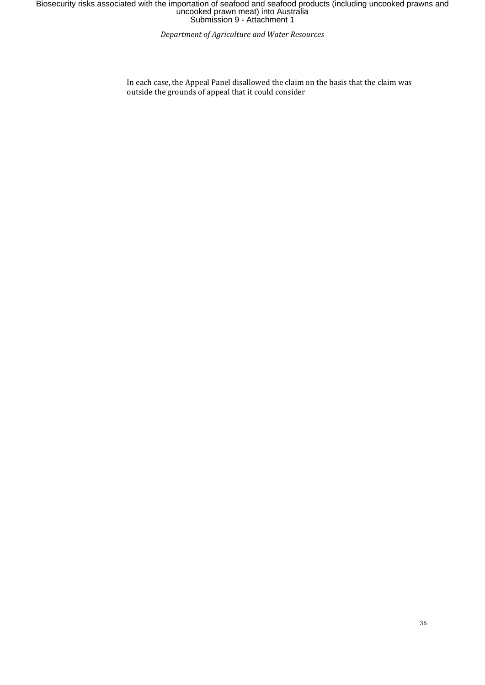*Department of Agriculture and Water Resources*

In each case, the Appeal Panel disallowed the claim on the basis that the claim was outside the grounds of appeal that it could consider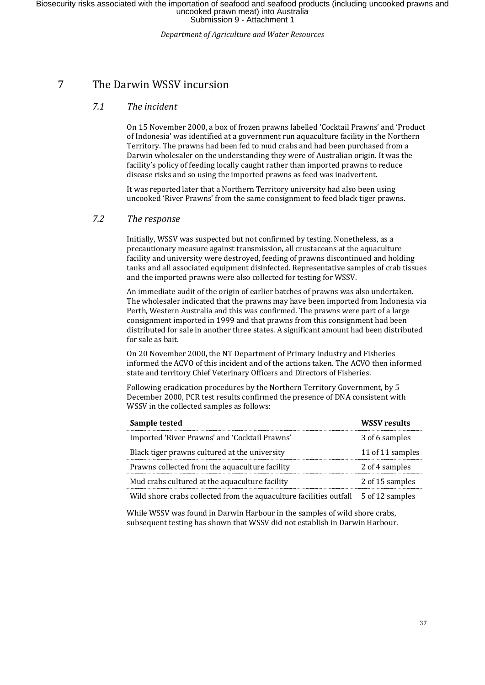*Department of Agriculture and Water Resources*

## <span id="page-37-0"></span>7 The Darwin WSSV incursion

#### <span id="page-37-1"></span>*7.1 The incident*

On 15 November 2000, a box of frozen prawns labelled 'Cocktail Prawns' and 'Product of Indonesia' was identified at a government run aquaculture facility in the Northern Territory. The prawns had been fed to mud crabs and had been purchased from a Darwin wholesaler on the understanding they were of Australian origin. It was the facility's policy of feeding locally caught rather than imported prawns to reduce disease risks and so using the imported prawns as feed was inadvertent.

It was reported later that a Northern Territory university had also been using uncooked 'River Prawns' from the same consignment to feed black tiger prawns.

### <span id="page-37-2"></span>*7.2 The response*

Initially, WSSV was suspected but not confirmed by testing. Nonetheless, as a precautionary measure against transmission, all crustaceans at the aquaculture facility and university were destroyed, feeding of prawns discontinued and holding tanks and all associated equipment disinfected. Representative samples of crab tissues and the imported prawns were also collected for testing for WSSV.

An immediate audit of the origin of earlier batches of prawns was also undertaken. The wholesaler indicated that the prawns may have been imported from Indonesia via Perth, Western Australia and this was confirmed. The prawns were part of a large consignment imported in 1999 and that prawns from this consignment had been distributed for sale in another three states. A significant amount had been distributed for sale as bait.

On 20 November 2000, the NT Department of Primary Industry and Fisheries informed the ACVO of this incident and of the actions taken. The ACVO then informed state and territory Chief Veterinary Officers and Directors of Fisheries.

Following eradication procedures by the Northern Territory Government, by 5 December 2000, PCR test results confirmed the presence of DNA consistent with WSSV in the collected samples as follows:

| Sample tested                                                                      | <b>WSSV</b> results |
|------------------------------------------------------------------------------------|---------------------|
| Imported 'River Prawns' and 'Cocktail Prawns'                                      | 3 of 6 samples      |
| Black tiger prawns cultured at the university                                      | 11 of 11 samples    |
| Prawns collected from the aquaculture facility                                     | 2 of 4 samples      |
| Mud crabs cultured at the aquaculture facility                                     | 2 of 15 samples     |
| Wild shore crabs collected from the aquaculture facilities outfall 5 of 12 samples |                     |

While WSSV was found in Darwin Harbour in the samples of wild shore crabs, subsequent testing has shown that WSSV did not establish in Darwin Harbour.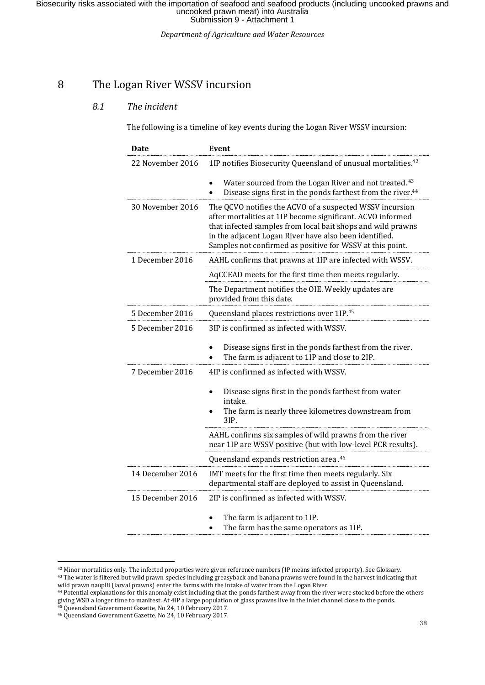*Department of Agriculture and Water Resources*

## <span id="page-38-0"></span>8 The Logan River WSSV incursion

## <span id="page-38-1"></span>*8.1 The incident*

The following is a timeline of key events during the Logan River WSSV incursion:

| Date             | <b>Event</b>                                                                                                                                                                                                                                                                                                 |
|------------------|--------------------------------------------------------------------------------------------------------------------------------------------------------------------------------------------------------------------------------------------------------------------------------------------------------------|
| 22 November 2016 | 1IP notifies Biosecurity Queensland of unusual mortalities. <sup>42</sup>                                                                                                                                                                                                                                    |
|                  | Water sourced from the Logan River and not treated. <sup>43</sup><br>Disease signs first in the ponds farthest from the river. <sup>44</sup>                                                                                                                                                                 |
| 30 November 2016 | The QCVO notifies the ACVO of a suspected WSSV incursion<br>after mortalities at 1IP become significant. ACVO informed<br>that infected samples from local bait shops and wild prawns<br>in the adjacent Logan River have also been identified.<br>Samples not confirmed as positive for WSSV at this point. |
| 1 December 2016  | AAHL confirms that prawns at 1IP are infected with WSSV.                                                                                                                                                                                                                                                     |
|                  | AqCCEAD meets for the first time then meets regularly.                                                                                                                                                                                                                                                       |
|                  | The Department notifies the OIE. Weekly updates are<br>provided from this date.                                                                                                                                                                                                                              |
| 5 December 2016  | Queensland places restrictions over 1IP.45                                                                                                                                                                                                                                                                   |
| 5 December 2016  | 3IP is confirmed as infected with WSSV.                                                                                                                                                                                                                                                                      |
|                  | Disease signs first in the ponds farthest from the river.<br>The farm is adjacent to 1IP and close to 2IP.                                                                                                                                                                                                   |
| 7 December 2016  | 4IP is confirmed as infected with WSSV.                                                                                                                                                                                                                                                                      |
|                  | Disease signs first in the ponds farthest from water<br>$\bullet$<br>intake.                                                                                                                                                                                                                                 |
|                  | The farm is nearly three kilometres downstream from<br>3IP.                                                                                                                                                                                                                                                  |
|                  | AAHL confirms six samples of wild prawns from the river<br>near 1IP are WSSV positive (but with low-level PCR results).                                                                                                                                                                                      |
|                  | Queensland expands restriction area. <sup>46</sup>                                                                                                                                                                                                                                                           |
| 14 December 2016 | IMT meets for the first time then meets regularly. Six<br>departmental staff are deployed to assist in Queensland.                                                                                                                                                                                           |
| 15 December 2016 | 2IP is confirmed as infected with WSSV.                                                                                                                                                                                                                                                                      |
|                  | The farm is adjacent to 1IP.<br>The farm has the same operators as 1IP.                                                                                                                                                                                                                                      |

<sup>42</sup> Minor mortalities only. The infected properties were given reference numbers (IP means infected property). See Glossary. 43 The water is filtered but wild prawn species including greasyback and banana prawns were found in the harvest indicating that wild prawn nauplii (larval prawns) enter the farms with the intake of water from the Logan River.

<sup>44</sup> Potential explanations for this anomaly exist including that the ponds farthest away from the river were stocked before the others giving WSD a longer time to manifest. At 4IP a large population of glass prawns live in the inlet channel close to the ponds. <sup>45</sup> Queensland Government Gazette, No 24, 10 February 2017.

<sup>46</sup> Queensland Government Gazette, No 24, 10 February 2017.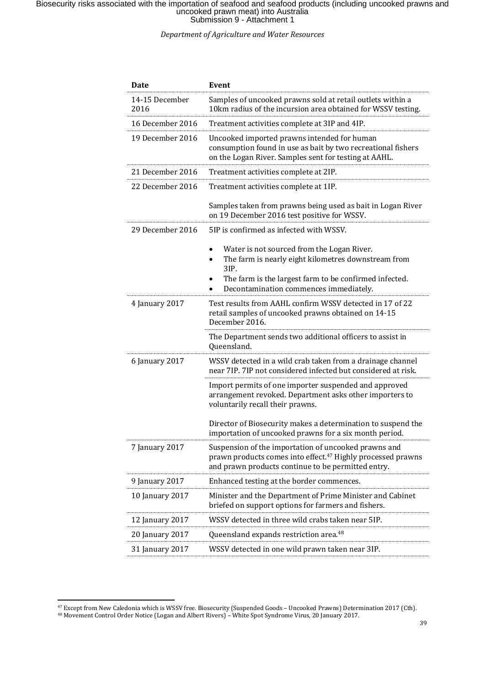| <b>Date</b>            | <b>Event</b>                                                                                                                                                                                                               |
|------------------------|----------------------------------------------------------------------------------------------------------------------------------------------------------------------------------------------------------------------------|
| 14-15 December<br>2016 | Samples of uncooked prawns sold at retail outlets within a<br>10km radius of the incursion area obtained for WSSV testing.                                                                                                 |
| 16 December 2016       | Treatment activities complete at 3IP and 4IP.                                                                                                                                                                              |
| 19 December 2016       | Uncooked imported prawns intended for human<br>consumption found in use as bait by two recreational fishers<br>on the Logan River. Samples sent for testing at AAHL.                                                       |
| 21 December 2016       | Treatment activities complete at 2IP.                                                                                                                                                                                      |
| 22 December 2016       | Treatment activities complete at 1IP.                                                                                                                                                                                      |
|                        | Samples taken from prawns being used as bait in Logan River<br>on 19 December 2016 test positive for WSSV.                                                                                                                 |
| 29 December 2016       | 5IP is confirmed as infected with WSSV.                                                                                                                                                                                    |
|                        | Water is not sourced from the Logan River.<br>$\bullet$<br>The farm is nearly eight kilometres downstream from<br>3IP.<br>The farm is the largest farm to be confirmed infected.<br>Decontamination commences immediately. |
| 4 January 2017         | Test results from AAHL confirm WSSV detected in 17 of 22<br>retail samples of uncooked prawns obtained on 14-15<br>December 2016.                                                                                          |
|                        | The Department sends two additional officers to assist in<br>Queensland.                                                                                                                                                   |
| 6 January 2017         | WSSV detected in a wild crab taken from a drainage channel<br>near 7IP. 7IP not considered infected but considered at risk.                                                                                                |
|                        | Import permits of one importer suspended and approved<br>arrangement revoked. Department asks other importers to<br>voluntarily recall their prawns.                                                                       |
|                        | Director of Biosecurity makes a determination to suspend the<br>importation of uncooked prawns for a six month period.                                                                                                     |
| 7 January 2017         | Suspension of the importation of uncooked prawns and<br>prawn products comes into effect. <sup>47</sup> Highly processed prawns<br>and prawn products continue to be permitted entry.                                      |
| 9 January 2017         | Enhanced testing at the border commences.                                                                                                                                                                                  |
| 10 January 2017        | Minister and the Department of Prime Minister and Cabinet<br>briefed on support options for farmers and fishers.                                                                                                           |
| 12 January 2017        | WSSV detected in three wild crabs taken near 5IP.                                                                                                                                                                          |
| 20 January 2017        | Queensland expands restriction area. <sup>48</sup>                                                                                                                                                                         |
| 31 January 2017        | WSSV detected in one wild prawn taken near 3IP.                                                                                                                                                                            |

<sup>47</sup> Except from New Caledonia which is WSSV free. Biosecurity (Suspended Goods – Uncooked Prawns) Determination 2017 (Cth).

<sup>48</sup> Movement Control Order Notice (Logan and Albert Rivers) – White Spot Syndrome Virus, 20 January 2017.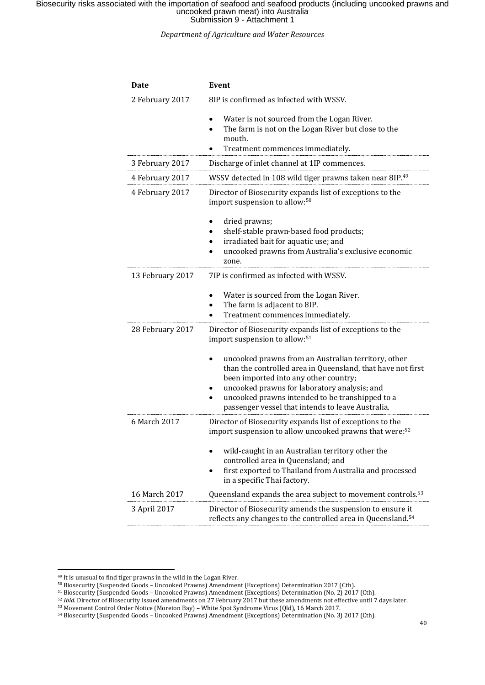| <b>Date</b>      | Event                                                                                                                                                                                                                                                                                                               |  |
|------------------|---------------------------------------------------------------------------------------------------------------------------------------------------------------------------------------------------------------------------------------------------------------------------------------------------------------------|--|
| 2 February 2017  | 8IP is confirmed as infected with WSSV.                                                                                                                                                                                                                                                                             |  |
|                  | Water is not sourced from the Logan River.<br>The farm is not on the Logan River but close to the<br>٠<br>mouth.<br>Treatment commences immediately.                                                                                                                                                                |  |
| 3 February 2017  | Discharge of inlet channel at 1IP commences.                                                                                                                                                                                                                                                                        |  |
| 4 February 2017  | WSSV detected in 108 wild tiger prawns taken near 8IP. <sup>49</sup>                                                                                                                                                                                                                                                |  |
| 4 February 2017  | Director of Biosecurity expands list of exceptions to the<br>import suspension to allow: <sup>50</sup>                                                                                                                                                                                                              |  |
|                  | dried prawns;<br>$\bullet$<br>shelf-stable prawn-based food products;<br>irradiated bait for aquatic use; and<br>uncooked prawns from Australia's exclusive economic<br>zone.                                                                                                                                       |  |
| 13 February 2017 | 7IP is confirmed as infected with WSSV.                                                                                                                                                                                                                                                                             |  |
|                  | Water is sourced from the Logan River.<br>$\bullet$<br>The farm is adjacent to 8IP.<br>٠<br>Treatment commences immediately.                                                                                                                                                                                        |  |
| 28 February 2017 | Director of Biosecurity expands list of exceptions to the<br>import suspension to allow:51                                                                                                                                                                                                                          |  |
|                  | uncooked prawns from an Australian territory, other<br>than the controlled area in Queensland, that have not first<br>been imported into any other country;<br>uncooked prawns for laboratory analysis; and<br>uncooked prawns intended to be transhipped to a<br>passenger vessel that intends to leave Australia. |  |
| 6 March 2017     | Director of Biosecurity expands list of exceptions to the<br>import suspension to allow uncooked prawns that were: <sup>52</sup>                                                                                                                                                                                    |  |
|                  | wild-caught in an Australian territory other the<br>controlled area in Queensland; and<br>first exported to Thailand from Australia and processed<br>in a specific Thai factory.                                                                                                                                    |  |
| 16 March 2017    | Queensland expands the area subject to movement controls. <sup>53</sup>                                                                                                                                                                                                                                             |  |
| 3 April 2017     | Director of Biosecurity amends the suspension to ensure it<br>reflects any changes to the controlled area in Queensland. <sup>54</sup>                                                                                                                                                                              |  |

<sup>49</sup> It is unusual to find tiger prawns in the wild in the Logan River.

<sup>50</sup> Biosecurity (Suspended Goods – Uncooked Prawns) Amendment (Exceptions) Determination 2017 (Cth).

<sup>51</sup> Biosecurity (Suspended Goods – Uncooked Prawns) Amendment (Exceptions) Determination (No. 2) 2017 (Cth).

<sup>&</sup>lt;sup>52</sup> *Ibid.* Director of Biosecurity issued amendments on 27 February 2017 but these amendments not effective until 7 days later.

<sup>53</sup> Movement Control Order Notice (Moreton Bay) – White Spot Syndrome Virus (Qld), 16 March 2017.

<sup>54</sup> Biosecurity (Suspended Goods – Uncooked Prawns) Amendment (Exceptions) Determination (No. 3) 2017 (Cth).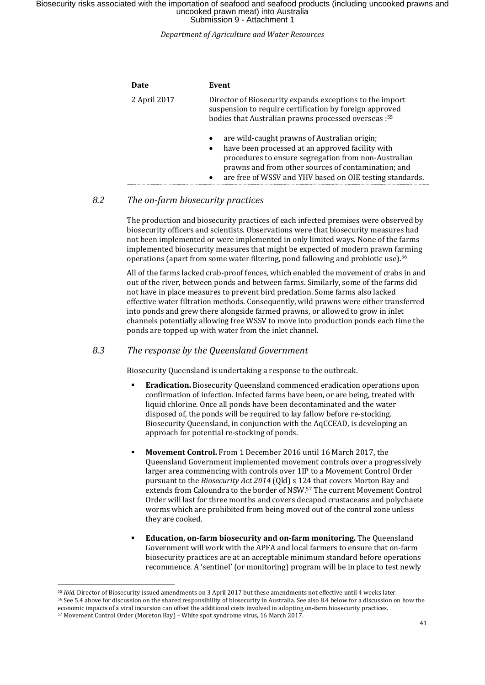*Department of Agriculture and Water Resources*

| Date         | Event                                                                                                                                                                                                                                                                                                   |
|--------------|---------------------------------------------------------------------------------------------------------------------------------------------------------------------------------------------------------------------------------------------------------------------------------------------------------|
| 2 April 2017 | Director of Biosecurity expands exceptions to the import<br>suspension to require certification by foreign approved<br>bodies that Australian prawns processed overseas : <sup>55</sup>                                                                                                                 |
|              | are wild-caught prawns of Australian origin;<br>$\bullet$<br>have been processed at an approved facility with<br>$\bullet$<br>procedures to ensure segregation from non-Australian<br>prawns and from other sources of contamination; and<br>• are free of WSSV and YHV based on OIE testing standards. |

## <span id="page-41-0"></span>*8.2 The on-farm biosecurity practices*

The production and biosecurity practices of each infected premises were observed by biosecurity officers and scientists. Observations were that biosecurity measures had not been implemented or were implemented in only limited ways. None of the farms implemented biosecurity measures that might be expected of modern prawn farming operations (apart from some water filtering, pond fallowing and probiotic use).<sup>56</sup>

All of the farms lacked crab-proof fences, which enabled the movement of crabs in and out of the river, between ponds and between farms. Similarly, some of the farms did not have in place measures to prevent bird predation. Some farms also lacked effective water filtration methods. Consequently, wild prawns were either transferred into ponds and grew there alongside farmed prawns, or allowed to grow in inlet channels potentially allowing free WSSV to move into production ponds each time the ponds are topped up with water from the inlet channel.

## <span id="page-41-1"></span>*8.3 The response by the Queensland Government*

Biosecurity Queensland is undertaking a response to the outbreak.

- **Eradication.** Biosecurity Queensland commenced eradication operations upon confirmation of infection. Infected farms have been, or are being, treated with liquid chlorine. Once all ponds have been decontaminated and the water disposed of, the ponds will be required to lay fallow before re-stocking. Biosecurity Queensland, in conjunction with the AqCCEAD, is developing an approach for potential re-stocking of ponds.
- **Movement Control.** From 1 December 2016 until 16 March 2017, the Queensland Government implemented movement controls over a progressively larger area commencing with controls over 1IP to a Movement Control Order pursuant to the *Biosecurity Act 2014* (Qld) s 124 that covers Morton Bay and extends from Caloundra to the border of NSW.<sup>57</sup> The current Movement Control Order will last for three months and covers decapod crustaceans and polychaete worms which are prohibited from being moved out of the control zone unless they are cooked.
- **Education, on-farm biosecurity and on-farm monitoring.** The Queensland Government will work with the APFA and local farmers to ensure that on-farm biosecurity practices are at an acceptable minimum standard before operations recommence. A 'sentinel' (or monitoring) program will be in place to test newly

<sup>56</sup> See 5.4 above for discussion on the shared responsibility of biosecurity in Australia. See also 8.4 below for a discussion on how the economic impacts of a viral incursion can offset the additional costs involved in adopting on-farm biosecurity practices.

<sup>55</sup> *Ibid.* Director of Biosecurity issued amendments on 3 April 2017 but these amendments not effective until 4 weeks later.

<sup>57</sup> Movement Control Order (Moreton Bay) – White spot syndrome virus, 16 March 2017.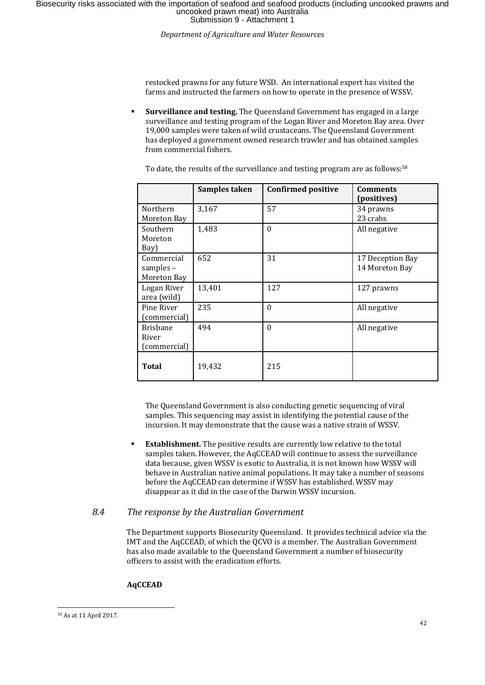*Department of Agriculture and Water Resources*

restocked prawns for any future WSD. An international expert has visited the farms and instructed the farmers on how to operate in the presence of WSSV.

 **Surveillance and testing.** The Queensland Government has engaged in a large surveillance and testing program of the Logan River and Moreton Bay area. Over 19,000 samples were taken of wild crustaceans. The Queensland Government has deployed a government owned research trawler and has obtained samples from commercial fishers.

|                                          | Samples taken | <b>Confirmed positive</b> | <b>Comments</b><br>(positives)     |
|------------------------------------------|---------------|---------------------------|------------------------------------|
| Northern<br>Moreton Bay                  | 3,167         | 57                        | 34 prawns<br>23 crabs              |
| Southern<br>Moreton<br>Bay)              | 1,483         | $\Omega$                  | All negative                       |
| Commercial<br>samples-<br>Moreton Bay    | 652           | 31                        | 17 Deception Bay<br>14 Moreton Bay |
| Logan River<br>area (wild)               | 13,401        | 127                       | 127 prawns                         |
| Pine River<br>(commercial)               | 235           | $\theta$                  | All negative                       |
| <b>Brisbane</b><br>River<br>(commercial) | 494           | $\Omega$                  | All negative                       |
| Total                                    | 19,432        | 215                       |                                    |

To date, the results of the surveillance and testing program are as follows:<sup>58</sup>

The Queensland Government is also conducting genetic sequencing of viral samples. This sequencing may assist in identifying the potential cause of the incursion. It may demonstrate that the cause was a native strain of WSSV.

**Establishment.** The positive results are currently low relative to the total samples taken. However, the AqCCEAD will continue to assess the surveillance data because, given WSSV is exotic to Australia, it is not known how WSSV will behave in Australian native animal populations. It may take a number of seasons before the AqCCEAD can determine if WSSV has established. WSSV may disappear as it did in the case of the Darwin WSSV incursion.

#### <span id="page-42-0"></span>*8.4 The response by the Australian Government*

The Department supports Biosecurity Queensland. It provides technical advice via the IMT and the AqCCEAD, of which the QCVO is a member. The Australian Government has also made available to the Queensland Government a number of biosecurity officers to assist with the eradication efforts.

#### **AqCCEAD**

<sup>58</sup> As at 11 April 2017.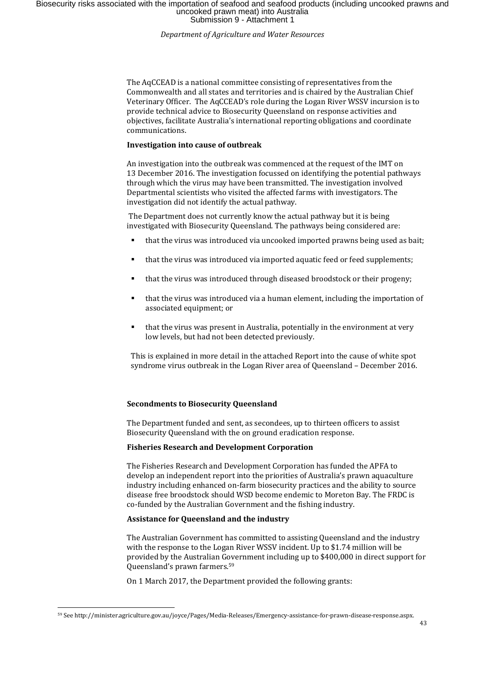*Department of Agriculture and Water Resources*

The AqCCEAD is a national committee consisting of representatives from the Commonwealth and all states and territories and is chaired by the Australian Chief Veterinary Officer. The AqCCEAD's role during the Logan River WSSV incursion is to provide technical advice to Biosecurity Queensland on response activities and objectives, facilitate Australia's international reporting obligations and coordinate communications.

#### **Investigation into cause of outbreak**

An investigation into the outbreak was commenced at the request of the IMT on 13 December 2016. The investigation focussed on identifying the potential pathways through which the virus may have been transmitted. The investigation involved Departmental scientists who visited the affected farms with investigators. The investigation did not identify the actual pathway.

The Department does not currently know the actual pathway but it is being investigated with Biosecurity Queensland. The pathways being considered are:

- that the virus was introduced via uncooked imported prawns being used as bait;
- that the virus was introduced via imported aquatic feed or feed supplements;
- that the virus was introduced through diseased broodstock or their progeny;
- that the virus was introduced via a human element, including the importation of associated equipment; or
- that the virus was present in Australia, potentially in the environment at very low levels, but had not been detected previously.

This is explained in more detail in the attached Report into the cause of white spot syndrome virus outbreak in the Logan River area of Queensland – December 2016.

#### **Secondments to Biosecurity Queensland**

The Department funded and sent, as secondees, up to thirteen officers to assist Biosecurity Queensland with the on ground eradication response.

#### **Fisheries Research and Development Corporation**

The Fisheries Research and Development Corporation has funded the APFA to develop an independent report into the priorities of Australia's prawn aquaculture industry including enhanced on-farm biosecurity practices and the ability to source disease free broodstock should WSD become endemic to Moreton Bay. The FRDC is co-funded by the Australian Government and the fishing industry.

#### **Assistance for Queensland and the industry**

The Australian Government has committed to assisting Queensland and the industry with the response to the Logan River WSSV incident. Up to \$1.74 million will be provided by the Australian Government including up to \$400,000 in direct support for Queensland's prawn farmers.<sup>59</sup>

On 1 March 2017, the Department provided the following grants:

<sup>59</sup> See http://minister.agriculture.gov.au/joyce/Pages/Media-Releases/Emergency-assistance-for-prawn-disease-response.aspx.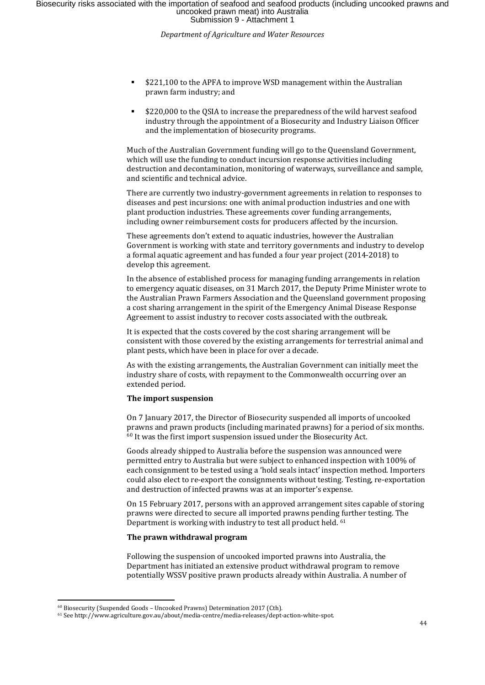*Department of Agriculture and Water Resources*

- \$221,100 to the APFA to improve WSD management within the Australian prawn farm industry; and
- **\$220,000 to the QSIA to increase the preparedness of the wild harvest seafood** industry through the appointment of a Biosecurity and Industry Liaison Officer and the implementation of biosecurity programs.

Much of the Australian Government funding will go to the Queensland Government, which will use the funding to conduct incursion response activities including destruction and decontamination, monitoring of waterways, surveillance and sample, and scientific and technical advice.

There are currently two industry-government agreements in relation to responses to diseases and pest incursions: one with animal production industries and one with plant production industries. These agreements cover funding arrangements, including owner reimbursement costs for producers affected by the incursion.

These agreements don't extend to aquatic industries, however the Australian Government is working with state and territory governments and industry to develop a formal aquatic agreement and has funded a four year project (2014-2018) to develop this agreement.

In the absence of established process for managing funding arrangements in relation to emergency aquatic diseases, on 31 March 2017, the Deputy Prime Minister wrote to the Australian Prawn Farmers Association and the Queensland government proposing a cost sharing arrangement in the spirit of the Emergency Animal Disease Response Agreement to assist industry to recover costs associated with the outbreak.

It is expected that the costs covered by the cost sharing arrangement will be consistent with those covered by the existing arrangements for terrestrial animal and plant pests, which have been in place for over a decade.

As with the existing arrangements, the Australian Government can initially meet the industry share of costs, with repayment to the Commonwealth occurring over an extended period.

#### **The import suspension**

On 7 January 2017, the Director of Biosecurity suspended all imports of uncooked prawns and prawn products (including marinated prawns) for a period of six months. <sup>60</sup> It was the first import suspension issued under the Biosecurity Act.

Goods already shipped to Australia before the suspension was announced were permitted entry to Australia but were subject to enhanced inspection with 100% of each consignment to be tested using a 'hold seals intact' inspection method. Importers could also elect to re-export the consignments without testing. Testing, re-exportation and destruction of infected prawns was at an importer's expense.

On 15 February 2017, persons with an approved arrangement sites capable of storing prawns were directed to secure all imported prawns pending further testing. The Department is working with industry to test all product held. <sup>61</sup>

#### **The prawn withdrawal program**

Following the suspension of uncooked imported prawns into Australia, the Department has initiated an extensive product withdrawal program to remove potentially WSSV positive prawn products already within Australia. A number of

<sup>60</sup> Biosecurity (Suspended Goods – Uncooked Prawns) Determination 2017 (Cth).

<sup>61</sup> See http://www.agriculture.gov.au/about/media-centre/media-releases/dept-action-white-spot.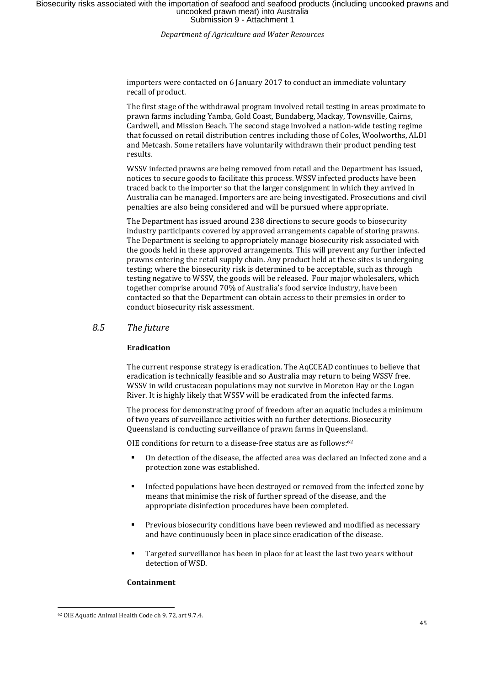*Department of Agriculture and Water Resources*

importers were contacted on 6 January 2017 to conduct an immediate voluntary recall of product.

The first stage of the withdrawal program involved retail testing in areas proximate to prawn farms including Yamba, Gold Coast, Bundaberg, Mackay, Townsville, Cairns, Cardwell, and Mission Beach. The second stage involved a nation-wide testing regime that focussed on retail distribution centres including those of Coles, Woolworths, ALDI and Metcash. Some retailers have voluntarily withdrawn their product pending test results.

WSSV infected prawns are being removed from retail and the Department has issued, notices to secure goods to facilitate this process. WSSV infected products have been traced back to the importer so that the larger consignment in which they arrived in Australia can be managed. Importers are are being investigated. Prosecutions and civil penalties are also being considered and will be pursued where appropriate.

The Department has issued around 238 directions to secure goods to biosecurity industry participants covered by approved arrangements capable of storing prawns. The Department is seeking to appropriately manage biosecurity risk associated with the goods held in these approved arrangements. This will prevent any further infected prawns entering the retail supply chain. Any product held at these sites is undergoing testing; where the biosecurity risk is determined to be acceptable, such as through testing negative to WSSV, the goods will be released. Four major wholesalers, which together comprise around 70% of Australia's food service industry, have been contacted so that the Department can obtain access to their premsies in order to conduct biosecurity risk assessment.

### <span id="page-45-0"></span>*8.5 The future*

#### **Eradication**

The current response strategy is eradication. The AqCCEAD continues to believe that eradication is technically feasible and so Australia may return to being WSSV free. WSSV in wild crustacean populations may not survive in Moreton Bay or the Logan River. It is highly likely that WSSV will be eradicated from the infected farms.

The process for demonstrating proof of freedom after an aquatic includes a minimum of two years of surveillance activities with no further detections. Biosecurity Queensland is conducting surveillance of prawn farms in Queensland.

OIE conditions for return to a disease-free status are as follows: $62$ 

- On detection of the disease, the affected area was declared an infected zone and a protection zone was established.
- Infected populations have been destroyed or removed from the infected zone by means that minimise the risk of further spread of the disease, and the appropriate disinfection procedures have been completed.
- Previous biosecurity conditions have been reviewed and modified as necessary and have continuously been in place since eradication of the disease.
- Targeted surveillance has been in place for at least the last two years without detection of WSD.

#### **Containment**

<sup>62</sup> OIE Aquatic Animal Health Code ch 9. 72, art 9.7.4.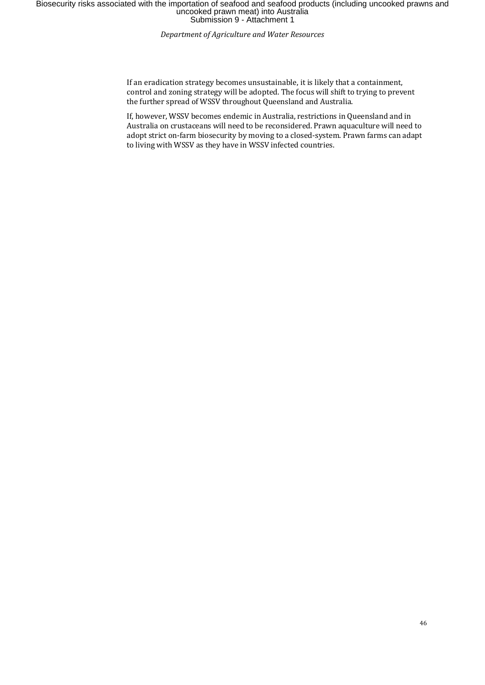*Department of Agriculture and Water Resources*

If an eradication strategy becomes unsustainable, it is likely that a containment, control and zoning strategy will be adopted. The focus will shift to trying to prevent the further spread of WSSV throughout Queensland and Australia.

If, however, WSSV becomes endemic in Australia, restrictions in Queensland and in Australia on crustaceans will need to be reconsidered. Prawn aquaculture will need to adopt strict on-farm biosecurity by moving to a closed-system. Prawn farms can adapt to living with WSSV as they have in WSSV infected countries.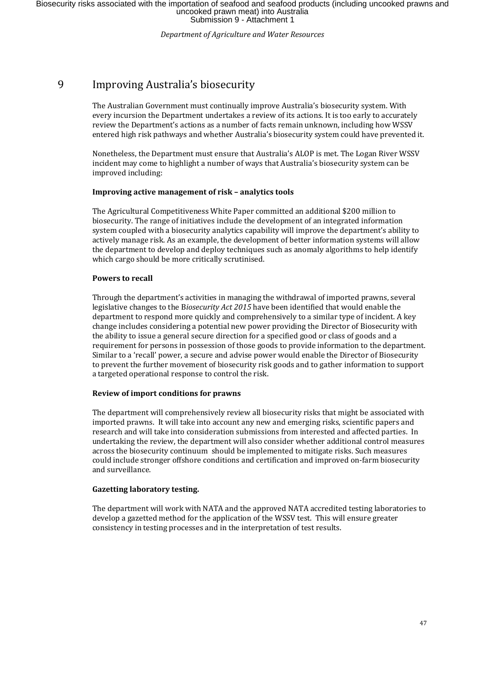*Department of Agriculture and Water Resources*

## <span id="page-47-0"></span>9 Improving Australia's biosecurity

The Australian Government must continually improve Australia's biosecurity system. With every incursion the Department undertakes a review of its actions. It is too early to accurately review the Department's actions as a number of facts remain unknown, including how WSSV entered high risk pathways and whether Australia's biosecurity system could have prevented it.

Nonetheless, the Department must ensure that Australia's ALOP is met. The Logan River WSSV incident may come to highlight a number of ways that Australia's biosecurity system can be improved including:

#### **Improving active management of risk – analytics tools**

The Agricultural Competitiveness White Paper committed an additional \$200 million to biosecurity. The range of initiatives include the development of an integrated information system coupled with a biosecurity analytics capability will improve the department's ability to actively manage risk. As an example, the development of better information systems will allow the department to develop and deploy techniques such as anomaly algorithms to help identify which cargo should be more critically scrutinised.

#### **Powers to recall**

Through the department's activities in managing the withdrawal of imported prawns, several legislative changes to the B*iosecurity Act 2015* have been identified that would enable the department to respond more quickly and comprehensively to a similar type of incident. A key change includes considering a potential new power providing the Director of Biosecurity with the ability to issue a general secure direction for a specified good or class of goods and a requirement for persons in possession of those goods to provide information to the department. Similar to a 'recall' power, a secure and advise power would enable the Director of Biosecurity to prevent the further movement of biosecurity risk goods and to gather information to support a targeted operational response to control the risk.

#### **Review of import conditions for prawns**

The department will comprehensively review all biosecurity risks that might be associated with imported prawns. It will take into account any new and emerging risks, scientific papers and research and will take into consideration submissions from interested and affected parties. In undertaking the review, the department will also consider whether additional control measures across the biosecurity continuum should be implemented to mitigate risks. Such measures could include stronger offshore conditions and certification and improved on-farm biosecurity and surveillance.

#### **Gazetting laboratory testing.**

The department will work with NATA and the approved NATA accredited testing laboratories to develop a gazetted method for the application of the WSSV test. This will ensure greater consistency in testing processes and in the interpretation of test results.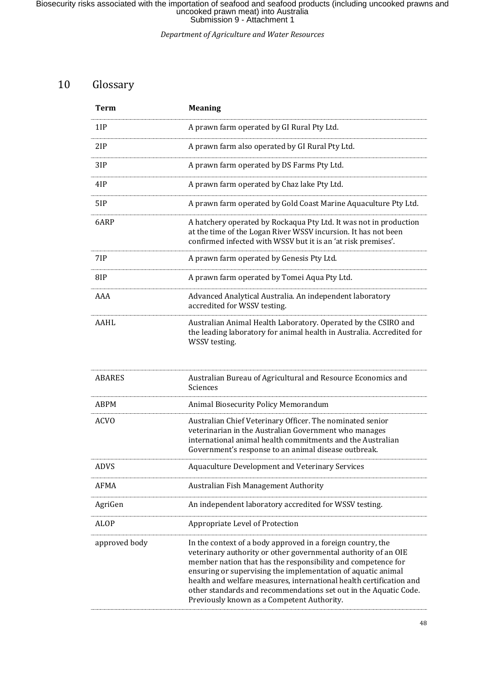*Department of Agriculture and Water Resources*

## <span id="page-48-0"></span>10 Glossary

| <b>Term</b>   | <b>Meaning</b>                                                                                                                                                                                                                                                                                                                                                                                                                                         |
|---------------|--------------------------------------------------------------------------------------------------------------------------------------------------------------------------------------------------------------------------------------------------------------------------------------------------------------------------------------------------------------------------------------------------------------------------------------------------------|
| 1IP           | A prawn farm operated by GI Rural Pty Ltd.                                                                                                                                                                                                                                                                                                                                                                                                             |
| 2IP           | A prawn farm also operated by GI Rural Pty Ltd.                                                                                                                                                                                                                                                                                                                                                                                                        |
| 3IP           | A prawn farm operated by DS Farms Pty Ltd.                                                                                                                                                                                                                                                                                                                                                                                                             |
| 4IP           | A prawn farm operated by Chaz lake Pty Ltd.                                                                                                                                                                                                                                                                                                                                                                                                            |
| 5IP           | A prawn farm operated by Gold Coast Marine Aquaculture Pty Ltd.                                                                                                                                                                                                                                                                                                                                                                                        |
| 6ARP          | A hatchery operated by Rockaqua Pty Ltd. It was not in production<br>at the time of the Logan River WSSV incursion. It has not been<br>confirmed infected with WSSV but it is an 'at risk premises'.                                                                                                                                                                                                                                                   |
| 7IP           | A prawn farm operated by Genesis Pty Ltd.                                                                                                                                                                                                                                                                                                                                                                                                              |
| 8IP           | A prawn farm operated by Tomei Aqua Pty Ltd.                                                                                                                                                                                                                                                                                                                                                                                                           |
| AAA           | Advanced Analytical Australia. An independent laboratory<br>accredited for WSSV testing.                                                                                                                                                                                                                                                                                                                                                               |
| AAHL          | Australian Animal Health Laboratory. Operated by the CSIRO and<br>the leading laboratory for animal health in Australia. Accredited for<br>WSSV testing.                                                                                                                                                                                                                                                                                               |
| <b>ABARES</b> | Australian Bureau of Agricultural and Resource Economics and<br>Sciences                                                                                                                                                                                                                                                                                                                                                                               |
| ABPM          | Animal Biosecurity Policy Memorandum                                                                                                                                                                                                                                                                                                                                                                                                                   |
| ACVO          | Australian Chief Veterinary Officer. The nominated senior<br>veterinarian in the Australian Government who manages<br>international animal health commitments and the Australian<br>Government's response to an animal disease outbreak.                                                                                                                                                                                                               |
| ADVS          | <b>Aquaculture Development and Veterinary Services</b>                                                                                                                                                                                                                                                                                                                                                                                                 |
| AFMA          | Australian Fish Management Authority                                                                                                                                                                                                                                                                                                                                                                                                                   |
| AgriGen       | An independent laboratory accredited for WSSV testing.                                                                                                                                                                                                                                                                                                                                                                                                 |
| <b>ALOP</b>   | Appropriate Level of Protection                                                                                                                                                                                                                                                                                                                                                                                                                        |
| approved body | In the context of a body approved in a foreign country, the<br>veterinary authority or other governmental authority of an OIE<br>member nation that has the responsibility and competence for<br>ensuring or supervising the implementation of aquatic animal<br>health and welfare measures, international health certification and<br>other standards and recommendations set out in the Aquatic Code.<br>Previously known as a Competent Authority. |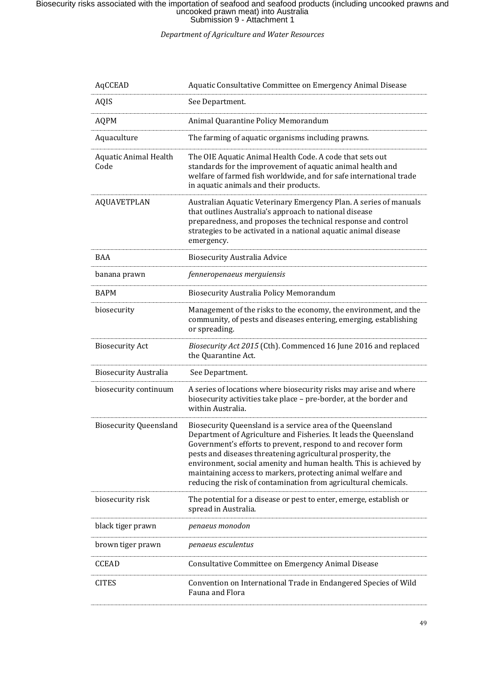| AqCCEAD                              | Aquatic Consultative Committee on Emergency Animal Disease                                                                                                                                                                                                                                                                                                                                                                                                            |
|--------------------------------------|-----------------------------------------------------------------------------------------------------------------------------------------------------------------------------------------------------------------------------------------------------------------------------------------------------------------------------------------------------------------------------------------------------------------------------------------------------------------------|
| AQIS                                 | See Department.                                                                                                                                                                                                                                                                                                                                                                                                                                                       |
| <b>AQPM</b>                          | Animal Quarantine Policy Memorandum                                                                                                                                                                                                                                                                                                                                                                                                                                   |
| Aquaculture                          | The farming of aquatic organisms including prawns.                                                                                                                                                                                                                                                                                                                                                                                                                    |
| <b>Aquatic Animal Health</b><br>Code | The OIE Aquatic Animal Health Code. A code that sets out<br>standards for the improvement of aquatic animal health and<br>welfare of farmed fish worldwide, and for safe international trade<br>in aquatic animals and their products.                                                                                                                                                                                                                                |
| <b>AQUAVETPLAN</b>                   | Australian Aquatic Veterinary Emergency Plan. A series of manuals<br>that outlines Australia's approach to national disease<br>preparedness, and proposes the technical response and control<br>strategies to be activated in a national aquatic animal disease<br>emergency.                                                                                                                                                                                         |
| BAA                                  | <b>Biosecurity Australia Advice</b>                                                                                                                                                                                                                                                                                                                                                                                                                                   |
| banana prawn                         | fenneropenaeus merguiensis                                                                                                                                                                                                                                                                                                                                                                                                                                            |
| <b>BAPM</b>                          | <b>Biosecurity Australia Policy Memorandum</b>                                                                                                                                                                                                                                                                                                                                                                                                                        |
| biosecurity                          | Management of the risks to the economy, the environment, and the<br>community, of pests and diseases entering, emerging, establishing<br>or spreading.                                                                                                                                                                                                                                                                                                                |
| <b>Biosecurity Act</b>               | Biosecurity Act 2015 (Cth). Commenced 16 June 2016 and replaced<br>the Quarantine Act.                                                                                                                                                                                                                                                                                                                                                                                |
| <b>Biosecurity Australia</b>         | See Department.                                                                                                                                                                                                                                                                                                                                                                                                                                                       |
| biosecurity continuum                | A series of locations where biosecurity risks may arise and where<br>biosecurity activities take place - pre-border, at the border and<br>within Australia.                                                                                                                                                                                                                                                                                                           |
| <b>Biosecurity Queensland</b>        | Biosecurity Queensland is a service area of the Queensland<br>Department of Agriculture and Fisheries. It leads the Queensland<br>Government's efforts to prevent, respond to and recover form<br>pests and diseases threatening agricultural prosperity, the<br>environment, social amenity and human health. This is achieved by<br>maintaining access to markers, protecting animal welfare and<br>reducing the risk of contamination from agricultural chemicals. |
| biosecurity risk                     | The potential for a disease or pest to enter, emerge, establish or<br>spread in Australia.                                                                                                                                                                                                                                                                                                                                                                            |
| black tiger prawn                    | penaeus monodon                                                                                                                                                                                                                                                                                                                                                                                                                                                       |
| brown tiger prawn                    | penaeus esculentus                                                                                                                                                                                                                                                                                                                                                                                                                                                    |
| <b>CCEAD</b>                         | Consultative Committee on Emergency Animal Disease                                                                                                                                                                                                                                                                                                                                                                                                                    |
| <b>CITES</b>                         | Convention on International Trade in Endangered Species of Wild<br>Fauna and Flora                                                                                                                                                                                                                                                                                                                                                                                    |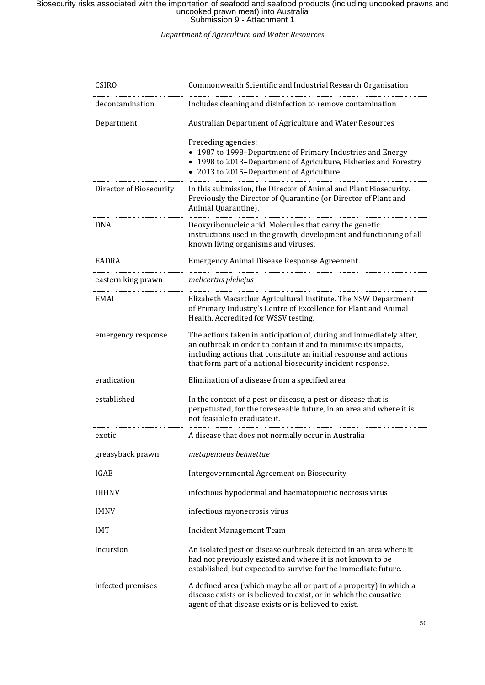| <b>CSIRO</b>            | Commonwealth Scientific and Industrial Research Organisation                                                                                                                                                                                                               |
|-------------------------|----------------------------------------------------------------------------------------------------------------------------------------------------------------------------------------------------------------------------------------------------------------------------|
| decontamination         | Includes cleaning and disinfection to remove contamination                                                                                                                                                                                                                 |
| Department              | Australian Department of Agriculture and Water Resources                                                                                                                                                                                                                   |
|                         | Preceding agencies:<br>• 1987 to 1998-Department of Primary Industries and Energy<br>• 1998 to 2013-Department of Agriculture, Fisheries and Forestry<br>• 2013 to 2015-Department of Agriculture                                                                          |
| Director of Biosecurity | In this submission, the Director of Animal and Plant Biosecurity.<br>Previously the Director of Quarantine (or Director of Plant and<br>Animal Quarantine).                                                                                                                |
| <b>DNA</b>              | Deoxyribonucleic acid. Molecules that carry the genetic<br>instructions used in the growth, development and functioning of all<br>known living organisms and viruses.                                                                                                      |
| <b>EADRA</b>            | <b>Emergency Animal Disease Response Agreement</b>                                                                                                                                                                                                                         |
| eastern king prawn      | melicertus plebejus                                                                                                                                                                                                                                                        |
| EMAI                    | Elizabeth Macarthur Agricultural Institute. The NSW Department<br>of Primary Industry's Centre of Excellence for Plant and Animal<br>Health. Accredited for WSSV testing.                                                                                                  |
| emergency response      | The actions taken in anticipation of, during and immediately after,<br>an outbreak in order to contain it and to minimise its impacts,<br>including actions that constitute an initial response and actions<br>that form part of a national biosecurity incident response. |
| eradication             | Elimination of a disease from a specified area                                                                                                                                                                                                                             |
| established             | In the context of a pest or disease, a pest or disease that is<br>perpetuated, for the foreseeable future, in an area and where it is<br>not feasible to eradicate it.                                                                                                     |
| exotic                  | A disease that does not normally occur in Australia                                                                                                                                                                                                                        |
| greasyback prawn        | metapenaeus bennettae                                                                                                                                                                                                                                                      |
| IGAB                    | Intergovernmental Agreement on Biosecurity                                                                                                                                                                                                                                 |
| IHHNV                   | infectious hypodermal and haematopoietic necrosis virus                                                                                                                                                                                                                    |
| <b>IMNV</b>             | infectious myonecrosis virus                                                                                                                                                                                                                                               |
| IMT                     | <b>Incident Management Team</b>                                                                                                                                                                                                                                            |
| incursion               | An isolated pest or disease outbreak detected in an area where it<br>had not previously existed and where it is not known to be<br>established, but expected to survive for the immediate future.                                                                          |
| infected premises       | A defined area (which may be all or part of a property) in which a<br>disease exists or is believed to exist, or in which the causative<br>agent of that disease exists or is believed to exist.                                                                           |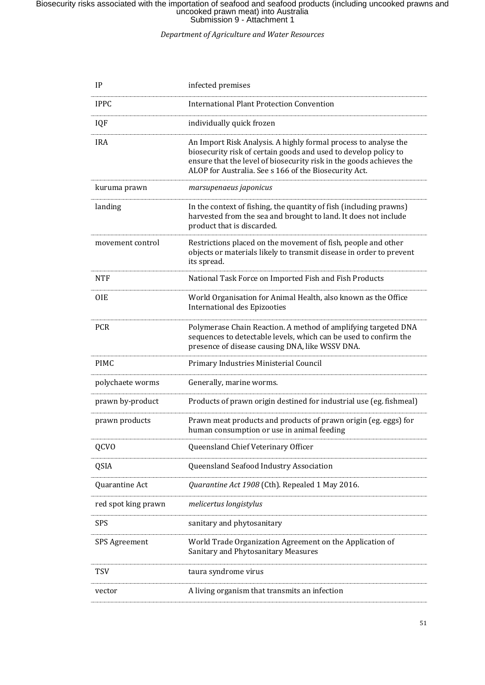| IP                   | infected premises                                                                                                                                                                                                                                                  |
|----------------------|--------------------------------------------------------------------------------------------------------------------------------------------------------------------------------------------------------------------------------------------------------------------|
| <b>IPPC</b>          | <b>International Plant Protection Convention</b>                                                                                                                                                                                                                   |
| IQF                  | individually quick frozen                                                                                                                                                                                                                                          |
| <b>IRA</b>           | An Import Risk Analysis. A highly formal process to analyse the<br>biosecurity risk of certain goods and used to develop policy to<br>ensure that the level of biosecurity risk in the goods achieves the<br>ALOP for Australia. See s 166 of the Biosecurity Act. |
| kuruma prawn         | marsupenaeus japonicus                                                                                                                                                                                                                                             |
| landing              | In the context of fishing, the quantity of fish (including prawns)<br>harvested from the sea and brought to land. It does not include<br>product that is discarded.                                                                                                |
| movement control     | Restrictions placed on the movement of fish, people and other<br>objects or materials likely to transmit disease in order to prevent<br>its spread.                                                                                                                |
| <b>NTF</b>           | National Task Force on Imported Fish and Fish Products                                                                                                                                                                                                             |
| 0IE                  | World Organisation for Animal Health, also known as the Office<br>International des Epizooties                                                                                                                                                                     |
| <b>PCR</b>           | Polymerase Chain Reaction. A method of amplifying targeted DNA<br>sequences to detectable levels, which can be used to confirm the<br>presence of disease causing DNA, like WSSV DNA.                                                                              |
| <b>PIMC</b>          | Primary Industries Ministerial Council                                                                                                                                                                                                                             |
| polychaete worms     | Generally, marine worms.                                                                                                                                                                                                                                           |
| prawn by-product     | Products of prawn origin destined for industrial use (eg. fishmeal)                                                                                                                                                                                                |
| prawn products       | Prawn meat products and products of prawn origin (eg. eggs) for<br>human consumption or use in animal feeding                                                                                                                                                      |
| QCVO                 | Queensland Chief Veterinary Officer                                                                                                                                                                                                                                |
| QSIA                 | Queensland Seafood Industry Association                                                                                                                                                                                                                            |
| Quarantine Act       | Quarantine Act 1908 (Cth). Repealed 1 May 2016.                                                                                                                                                                                                                    |
| red spot king prawn  | melicertus longistylus                                                                                                                                                                                                                                             |
| SPS                  | sanitary and phytosanitary                                                                                                                                                                                                                                         |
| <b>SPS</b> Agreement | World Trade Organization Agreement on the Application of<br>Sanitary and Phytosanitary Measures                                                                                                                                                                    |
| <b>TSV</b>           | taura syndrome virus                                                                                                                                                                                                                                               |
| vector               | A living organism that transmits an infection                                                                                                                                                                                                                      |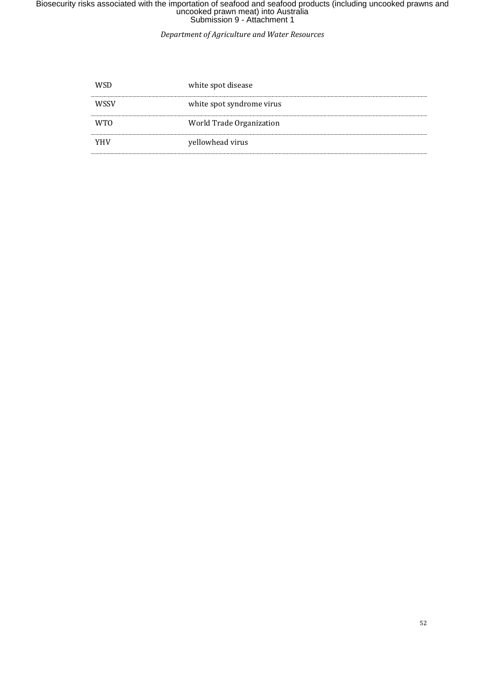|            | white spot disease        |
|------------|---------------------------|
| wssy       | white spot syndrome virus |
| <b>WTO</b> | World Trade Organization  |
| <b>YHV</b> | yellowhead virus          |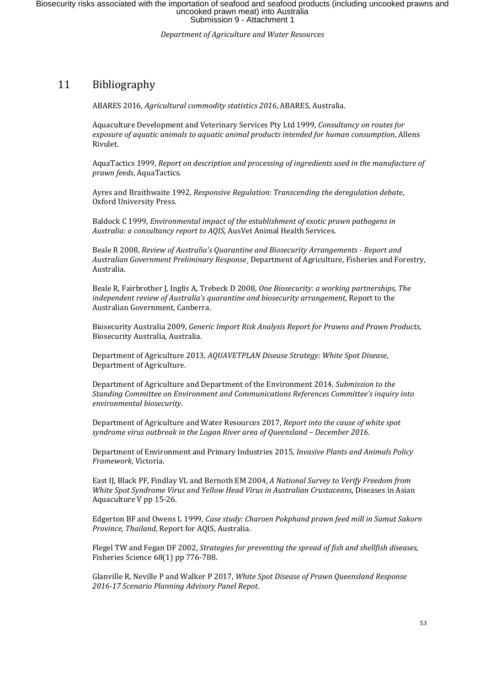*Department of Agriculture and Water Resources*

## <span id="page-53-0"></span>11 Bibliography

ABARES 2016, *Agricultural commodity statistics 2016*, ABARES, Australia.

Aquaculture Development and Veterinary Services Pty Ltd 1999, *Consultancy on routes for exposure of aquatic animals to aquatic animal products intended for human consumption*, Allens Rivulet.

AquaTactics 1999, *Report on description and processing of ingredients used in the manufacture of prawn feeds*, AquaTactics.

Ayres and Braithwaite 1992, *Responsive Regulation: Transcending the deregulation debate*, Oxford University Press.

Baldock C 1999, *Environmental impact of the establishment of exotic prawn pathogens in Australia: a consultancy report to AQIS*, AusVet Animal Health Services.

Beale R 2008, *Review of Australia's Quarantine and Biosecurity Arrangements - Report and Australian Government Preliminary Response*¸ Department of Agriculture, Fisheries and Forestry, Australia.

Beale R, Fairbrother J, Inglis A, Trebeck D 2008, *One Biosecurity: a working partnerships, The independent review of Australia's quarantine and biosecurity arrangement,* Report to the Australian Government, Canberra.

Biosecurity Australia 2009, *Generic Import Risk Analysis Report for Prawns and Prawn Products*, Biosecurity Australia, Australia.

Department of Agriculture 2013, *AQUAVETPLAN Disease Strategy: White Spot Disease*, Department of Agriculture.

Department of Agriculture and Department of the Environment 2014, *Submission to the Standing Committee on Environment and Communications References Committee's inquiry into environmental biosecurity*.

Department of Agriculture and Water Resources 2017, *Report into the cause of white spot syndrome virus outbreak in the Logan River area of Queensland – December 2016*.

Department of Environment and Primary Industries 2015, *Invasive Plants and Animals Policy Framework*, Victoria.

East IJ, Black PF, Findlay VL and Bernoth EM 2004, *A National Survey to Verify Freedom from White Spot Syndrome Virus and Yellow Head Virus in Australian Crustaceans*, Diseases in Asian Aquaculture V pp 15-26.

Edgerton BF and Owens L 1999, *Case study: Charoen Pokphand prawn feed mill in Samut Sakorn Province, Thailand*, Report for AQIS, Australia.

Flegel TW and Fegan DF 2002, *Strategies for preventing the spread of fish and shellfish diseases*, Fisheries Science 68(1) pp 776-788.

Glanville R, Neville P and Walker P 2017, *White Spot Disease of Prawn Queensland Response 2016-17 Scenario Planning Advisory Panel Repot*.